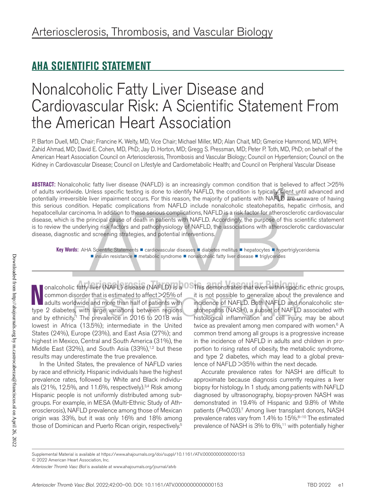# **AHA SCIENTIFIC STATEMENT**

# Nonalcoholic Fatty Liver Disease and Cardiovascular Risk: A Scientific Statement From the American Heart Association

P. Barton Duell, MD, Chair; Francine K. Welty, MD, Vice Chair; Michael Miller, MD; Alan Chait, MD; Gmerice Hammond, MD, MPH; Zahid Ahmad, MD; David E. Cohen, MD, PhD; Jay D. Horton, MD; Gregg S. Pressman, MD; Peter P. Toth, MD, PhD; on behalf of the American Heart Association Council on Arteriosclerosis, Thrombosis and Vascular Biology; Council on Hypertension; Council on the Kidney in Cardiovascular Disease; Council on Lifestyle and Cardiometabolic Health; and Council on Peripheral Vascular Disease

**ABSTRACT:** Nonalcoholic fatty liver disease (NAFLD) is an increasingly common condition that is believed to affect >25% of adults worldwide. Unless specific testing is done to identify NAFLD, the condition is typically silent until advanced and potentially irreversible liver impairment occurs. For this reason, the majority of patients with NAFLD are unaware of having this serious condition. Hepatic complications from NAFLD include nonalcoholic steatohepatitis, hepatic cirrhosis, and hepatocellular carcinoma. In addition to these serious complications, NAFLD is a risk factor for atherosclerotic cardiovascular disease, which is the principal cause of death in patients with NAFLD. Accordingly, the purpose of this scientific statement is to review the underlying risk factors and pathophysiology of NAFLD, the associations with atherosclerotic cardiovascular disease, diagnostic and screening strategies, and potential interventions.

Key Words: AHA Scientific Statements **■** cardiovascular diseases ■ diabetes mellitus ■ hepatocytes ■ hypertriglyceridemia ■ insulin resistance ■ metabolic syndrome ■ nonalcoholic fatty liver disease ■ triglycerides

**N** common disorder that is estimated to affect >25% of adults worldwide and more than half of patients with type 2 diabetes, with large variations between regions onalcoholic fatty liver (NAFL) disease (NAFLD) is a common disorder that is estimated to affect >25% of adults worldwide and more than half of patients with and by ethnicity.<sup>1</sup> The prevalence in 2016 to 2018 was lowest in Africa (13.5%); intermediate in the United States (24%), Europe (23%), and East Asia (27%); and highest in Mexico, Central and South America (31%), the Middle East (32%), and South Asia (33%), $1,2$  but these results may underestimate the true prevalence.

In the United States, the prevalence of NAFLD varies by race and ethnicity. Hispanic individuals have the highest prevalence rates, followed by White and Black individuals (21%, 12.5%, and 11.6%, respectively).3,4 Risk among Hispanic people is not uniformly distributed among subgroups. For example, in MESA (Multi-Ethnic Study of Atherosclerosis), NAFLD prevalence among those of Mexican origin was 33%, but it was only 16% and 18% among those of Dominican and Puerto Rican origin, respectively.<sup>5</sup>

This demonstrates that even within specific ethnic groups, it is not possible to generalize about the prevalence and incidence of NAFLD. Both NAFLD and nonalcoholic steatohepatitis (NASH), a subset of NAFLD associated with histological inflammation and cell injury, may be about twice as prevalent among men compared with women.<sup>6</sup> A common trend among all groups is a progressive increase in the incidence of NAFLD in adults and children in proportion to rising rates of obesity, the metabolic syndrome, and type 2 diabetes, which may lead to a global prevalence of NAFLD >35% within the next decade.

Accurate prevalence rates for NASH are difficult to approximate because diagnosis currently requires a liver biopsy for histology. In 1 study, among patients with NAFLD diagnosed by ultrasonography, biopsy-proven NASH was demonstrated in 19.4% of Hispanic and 9.8% of White patients (P=0.03).<sup>7</sup> Among liver transplant donors, NASH prevalence rates vary from 1.4% to 15%.8-10 The estimated prevalence of NASH is 3% to 6%,<sup>11</sup> with potentially higher

Supplemental Material is available at https://www.ahajournals.org/doi/suppl/10.1161/ATV.0000000000000153

© 2022 American Heart Association, Inc.

*Arterioscler Thromb Vasc Biol* is available at www.ahajournals.org/journal/atvb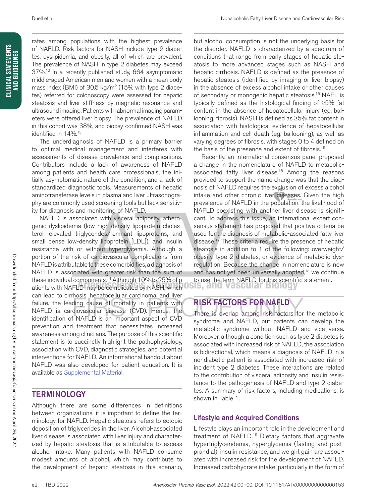CLINICAL STATEMENTS<br>And Guidelines **CLINICAL STATEMENTS AND GUIDELINES**

rates among populations with the highest prevalence of NAFLD. Risk factors for NASH include type 2 diabetes, dyslipidemia, and obesity, all of which are prevalent. The prevalence of NASH in type 2 diabetes may exceed 37%.<sup>12</sup> In a recently published study, 664 asymptomatic middle-aged American men and women with a mean body mass index (BMI) of 30.5 kg/m<sup>2</sup> (15% with type 2 diabetes) referred for colonoscopy were assessed for hepatic steatosis and liver stiffness by magnetic resonance and ultrasound imaging. Patients with abnormal imaging parameters were offered liver biopsy. The prevalence of NAFLD in this cohort was 38%, and biopsy-confirmed NASH was identified in 14%.<sup>13</sup>

The underdiagnosis of NAFLD is a primary barrier to optimal medical management and interferes with assessments of disease prevalence and complications. Contributors include a lack of awareness of NAFLD among patients and health care professionals, the initially asymptomatic nature of the condition, and a lack of standardized diagnostic tools. Measurements of hepatic aminotransferase levels in plasma and liver ultrasonography are commonly used screening tools but lack sensitivity for diagnosis and monitoring of NAFLD.

NAFLD is associated with visceral adiposity, atherogenic dyslipidemia (low high-density lipoprotein cholesterol, elevated triglycerides/remnant lipoproteins, and small dense low-density lipoprotein [LDL]), and insulin resistance with or without hyperglycemia. Although a portion of the risk of cardiovascular complications from NAFLD is attributable to these comorbidities, a diagnosis of NAFLD is associated with greater risk than the sum of these individual components.14 Although 10% to 25% of p atients with NAFLD may be complicated by NASH, which can lead to cirrhosis, hepatocellular carcinoma, and liver failure, the leading cause of mortality in patients with NAFLD is cardiovascular disease (CVD). Hence, the identification of NAFLD is an important aspect of CVD prevention and treatment that necessitates increased awareness among clinicians. The purpose of this scientific statement is to succinctly highlight the pathophysiology, association with CVD, diagnostic strategies, and potential interventions for NAFLD. An informational handout about NAFLD was also developed for patient education. It is available as Supplemental Material.

# TERMINOLOGY

Although there are some differences in definitions between organizations, it is important to define the terminology for NAFLD. Hepatic steatosis refers to ectopic deposition of triglycerides in the liver. Alcohol-associated liver disease is associated with liver injury and characterized by hepatic steatosis that is attributable to excess alcohol intake. Many patients with NAFLD consume modest amounts of alcohol, which may contribute to the development of hepatic steatosis in this scenario,

but alcohol consumption is not the underlying basis for the disorder. NAFLD is characterized by a spectrum of conditions that range from early stages of hepatic steatosis to more advanced stages such as NASH and hepatic cirrhosis. NAFLD is defined as the presence of hepatic steatosis (identified by imaging or liver biopsy) in the absence of excess alcohol intake or other causes of secondary or monogenic hepatic steatosis.<sup>15</sup> NAFL is typically defined as the histological finding of ≥5% fat content in the absence of hepatocellular injury (eg, ballooning, fibrosis). NASH is defined as ≥5% fat content in association with histological evidence of hepatocellular inflammation and cell death (eg, ballooning), as well as varying degrees of fibrosis, with stages 0 to 4 defined on the basis of the presence and extent of fibrosis.15

Recently, an international consensus panel proposed a change in the nomenclature of NAFLD to metabolicassociated fatty liver disease.<sup>16</sup> Among the reasons provided to support the name change was that the diagnosis of NAFLD requires the exclusion of excess alcohol intake and other chronic liver diseases. Given the high prevalence of NAFLD in the population, the likelihood of NAFLD coexisting with another liver disease is significant. To address this issue, an international expert consensus statement has proposed that positive criteria be used for the diagnosis of metabolic-associated fatty liver disease.<sup>17</sup> These criteria require the presence of hepatic steatosis in addition to 1 of the following: overweight/ obesity, type 2 diabetes, or evidence of metabolic dysregulation. Because the change in nomenclature is new and has not yet been universally adopted,<sup>18</sup> we continue to use the term NAFLD for this scientific statement.

# RISK FACTORS FOR NAFLD

There is overlap among risk factors for the metabolic syndrome and NAFLD, but patients can develop the metabolic syndrome without NAFLD and vice versa. Moreover, although a condition such as type 2 diabetes is associated with increased risk of NAFLD, the association is bidirectional, which means a diagnosis of NAFLD in a nondiabetic patient is associated with increased risk of incident type 2 diabetes. These interactions are related to the contribution of visceral adiposity and insulin resistance to the pathogenesis of NAFLD and type 2 diabetes. A summary of risk factors, including medications, is shown in Table 1.

# Lifestyle and Acquired Conditions

Lifestyle plays an important role in the development and treatment of NAFLD.19 Dietary factors that aggravate hypertriglyceridemia, hyperglycemia (fasting and postprandial), insulin resistance, and weight gain are associated with increased risk for the development of NAFLD. Increased carbohydrate intake, particularly in the form of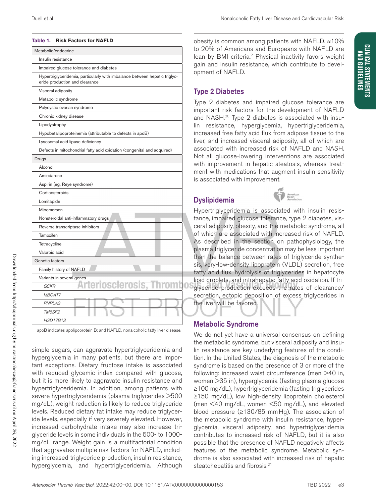| Metabolic/endocrine                                                                                          |  |
|--------------------------------------------------------------------------------------------------------------|--|
| Insulin resistance                                                                                           |  |
| Impaired glucose tolerance and diabetes                                                                      |  |
| Hypertriglyceridemia, particularly with imbalance between hepatic triglyc-<br>eride production and clearance |  |
| Visceral adiposity                                                                                           |  |
| Metabolic syndrome                                                                                           |  |
| Polycystic ovarian syndrome                                                                                  |  |
| Chronic kidney disease                                                                                       |  |
| Lipodystrophy                                                                                                |  |
| Hypobetalipoproteinemia (attributable to defects in apoB)                                                    |  |
| Lysosomal acid lipase deficiency                                                                             |  |
| Defects in mitochondrial fatty acid oxidation (congenital and acquired)                                      |  |
| Drugs                                                                                                        |  |
| Alcohol                                                                                                      |  |
| Amiodarone                                                                                                   |  |
| Aspirin (eg, Reye syndrome)                                                                                  |  |
| Corticosteroids                                                                                              |  |
| Lomitapide                                                                                                   |  |
| Mipomersen                                                                                                   |  |
| Nonsteroidal anti-inflammatory drugs                                                                         |  |
| Reverse transcriptase inhibitors                                                                             |  |
| Tamoxifen                                                                                                    |  |
| Tetracycline                                                                                                 |  |
| Valproic acid                                                                                                |  |
| Genetic factors                                                                                              |  |
| Family history of NAFLD                                                                                      |  |
| Variants in several genes                                                                                    |  |
| eros<br>GCKR                                                                                                 |  |
| MBOAT7                                                                                                       |  |
| PNPLA3                                                                                                       |  |
| TM6SF2                                                                                                       |  |
| <b>HSD17B13</b>                                                                                              |  |

**Table 1. Risk Factors for NAFLD**

apoB indicates apolipoprotein B; and NAFLD, nonalcoholic fatty liver disease.

simple sugars, can aggravate hypertriglyceridemia and hyperglycemia in many patients, but there are important exceptions. Dietary fructose intake is associated with reduced glycemic index compared with glucose, but it is more likely to aggravate insulin resistance and hypertriglyceridemia. In addition, among patients with severe hypertriglyceridemia (plasma triglycerides >500 mg/dL), weight reduction is likely to reduce triglyceride levels. Reduced dietary fat intake may reduce triglyceride levels, especially if very severely elevated. However, increased carbohydrate intake may also increase triglyceride levels in some individuals in the 500- to 1000 mg/dL range. Weight gain is a multifactorial condition that aggravates multiple risk factors for NAFLD, including increased triglyceride production, insulin resistance, hyperglycemia, and hypertriglyceridemia. Although

obesity is common among patients with NAFLD, ≈10% to 20% of Americans and Europeans with NAFLD are lean by BMI criteria.2 Physical inactivity favors weight gain and insulin resistance, which contribute to development of NAFLD.

### Type 2 Diabetes

Type 2 diabetes and impaired glucose tolerance are important risk factors for the development of NAFLD and NASH.<sup>20</sup> Type 2 diabetes is associated with insulin resistance, hyperglycemia, hypertriglyceridemia, increased free fatty acid flux from adipose tissue to the liver, and increased visceral adiposity, all of which are associated with increased risk of NAFLD and NASH. Not all glucose-lowering interventions are associated with improvement in hepatic steatosis, whereas treatment with medications that augment insulin sensitivity is associated with improvement.

# Dyslipidemia



Hypertriglyceridemia is associated with insulin resistance, impaired glucose tolerance, type 2 diabetes, visceral adiposity, obesity, and the metabolic syndrome, all of which are associated with increased risk of NAFLD. As described in the section on pathophysiology, the plasma triglyceride concentration may be less important than the balance between rates of triglyceride synthesis, very-low-density lipoprotein (VLDL) secretion, free fatty acid flux, hydrolysis of triglycerides in hepatocyte lipid droplets, and intrahepatic fatty acid oxidation. If triglyceride production exceeds the rates of clearance/ secretion, ectopic deposition of excess triglycerides in the liver will be favored.

### Metabolic Syndrome

We do not yet have a universal consensus on defining the metabolic syndrome, but visceral adiposity and insulin resistance are key underlying features of the condition. In the United States, the diagnosis of the metabolic syndrome is based on the presence of 3 or more of the following: increased waist circumference (men >40 in, women >35 in), hyperglycemia (fasting plasma glucose ≥100 mg/dL), hypertriglyceridemia (fasting triglycerides ≥150 mg/dL), low high-density lipoprotein cholesterol (men <40 mg/dL, women <50 mg/dL), and elevated blood pressure (≥130/85 mmHg). The association of the metabolic syndrome with insulin resistance, hyperglycemia, visceral adiposity, and hypertriglyceridemia contributes to increased risk of NAFLD, but it is also possible that the presence of NAFLD negatively affects features of the metabolic syndrome. Metabolic syndrome is also associated with increased risk of hepatic steatohepatitis and fibrosis.<sup>21</sup>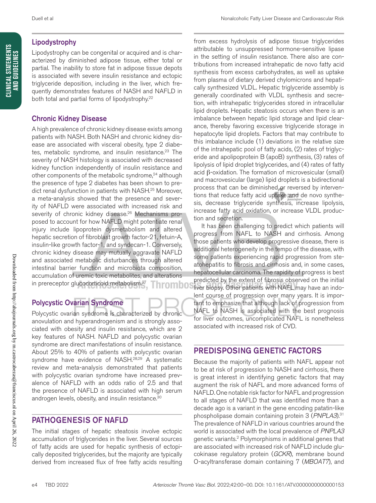### Lipodystrophy

Lipodystrophy can be congenital or acquired and is characterized by diminished adipose tissue, either total or partial. The inability to store fat in adipose tissue depots is associated with severe insulin resistance and ectopic triglyceride deposition, including in the liver, which frequently demonstrates features of NASH and NAFLD in both total and partial forms of lipodystrophy.<sup>22</sup>

## Chronic Kidney Disease

A high prevalence of chronic kidney disease exists among patients with NASH. Both NASH and chronic kidney disease are associated with visceral obesity, type 2 diabetes, metabolic syndrome, and insulin resistance.<sup>23</sup> The severity of NASH histology is associated with decreased kidney function independently of insulin resistance and other components of the metabolic syndrome,<sup>24</sup> although the presence of type 2 diabetes has been shown to predict renal dysfunction in patients with NASH.25 Moreover, a meta-analysis showed that the presence and severity of NAFLD were associated with increased risk and severity of chronic kidney disease.<sup>26</sup> Mechanisms proposed to account for how NAFLD might potentiate renal injury include lipoprotein dysmetabolism and altered hepatic secretion of fibroblast growth factor-21, fetuin-A, insulin-like growth factor-1, and syndecan-1. Conversely, chronic kidney disease may mutually aggravate NAFLD and associated metabolic disturbances through altered intestinal barrier function and microbiota composition, accumulation of uremic toxic metabolites, and alterations in prereceptor glucocorticoid metabolism.27 <u>Fhrombos</u>

# Polycystic Ovarian Syndrome

Polycystic ovarian syndrome is characterized by chronic anovulation and hyperandrogenism and is strongly associated with obesity and insulin resistance, which are 2 key features of NASH. NAFLD and polycystic ovarian syndrome are direct manifestations of insulin resistance. About 25% to 40% of patients with polycystic ovarian syndrome have evidence of NASH.<sup>28,29</sup> A systematic review and meta-analysis demonstrated that patients with polycystic ovarian syndrome have increased prevalence of NAFLD with an odds ratio of 2.5 and that the presence of NAFLD is associated with high serum androgen levels, obesity, and insulin resistance.<sup>30</sup>

# PATHOGENESIS OF NAFLD

The initial stages of hepatic steatosis involve ectopic accumulation of triglycerides in the liver. Several sources of fatty acids are used for hepatic synthesis of ectopically deposited triglycerides, but the majority are typically derived from increased flux of free fatty acids resulting

from excess hydrolysis of adipose tissue triglycerides attributable to unsuppressed hormone-sensitive lipase in the setting of insulin resistance. There also are contributions from increased intrahepatic de novo fatty acid synthesis from excess carbohydrates, as well as uptake from plasma of dietary derived chylomicrons and hepatically synthesized VLDL. Hepatic triglyceride assembly is generally coordinated with VLDL synthesis and secretion, with intrahepatic triglycerides stored in intracellular lipid droplets. Hepatic steatosis occurs when there is an imbalance between hepatic lipid storage and lipid clearance, thereby favoring excessive triglyceride storage in hepatocyte lipid droplets. Factors that may contribute to this imbalance include (1) deviations in the relative size of the intrahepatic pool of fatty acids, (2) rates of triglyceride and apolipoprotein B (apoB) synthesis, (3) rates of lipolysis of lipid droplet triglycerides, and (4) rates of fatty acid β-oxidation. The formation of microvesicular (small) and macrovesicular (large) lipid droplets is a bidirectional process that can be diminished or reversed by interventions that reduce fatty acid uptake and de novo synthesis, decrease triglyceride synthesis, increase lipolysis, increase fatty acid oxidation, or increase VLDL production and secretion.

It has been challenging to predict which patients will progress from NAFL to NASH and cirrhosis. Among those patients who develop progressive disease, there is additional heterogeneity in the tempo of the disease, with some patients experiencing rapid progression from steatohepatitis to fibrosis and cirrhosis and, in some cases, hepatocellular carcinoma. The rapidity of progress is best predicted by the extent of fibrosis observed on the initial liver biopsy. Other patients with NAFL may have an indolent course of progression over many years. It is important to emphasize that although lack of progression from NAFL to NASH is associated with the best prognosis for liver outcomes, uncomplicated NAFL is nonetheless associated with increased risk of CVD.

# PREDISPOSING GENETIC FACTORS

Because the majority of patients with NAFL appear not to be at risk of progression to NASH and cirrhosis, there is great interest in identifying genetic factors that may augment the risk of NAFL and more advanced forms of NAFLD. One notable risk factor for NAFL and progression to all stages of NAFLD that was identified more than a decade ago is a variant in the gene encoding patatin-like phospholipase domain containing protein 3 (*PNPLA3*).31 The prevalence of NAFLD in various countries around the world is associated with the local prevalence of *PNPLA3* genetic variants.2 Polymorphisms in additional genes that are associated with increased risk of NAFLD include glucokinase regulatory protein (*GCKR*), membrane bound O-acyltransferase domain containing 7 (*MBOAT7*), and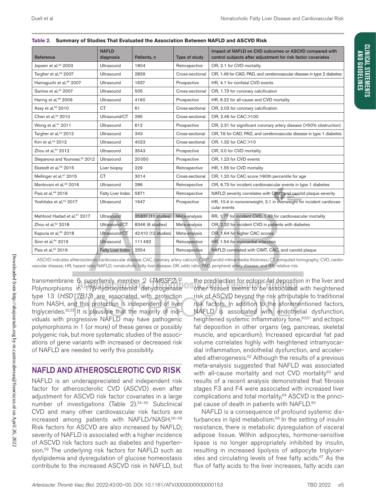| Reference                                  | <b>NAFLD</b><br>diagnosis | Patients, n        | Type of study   | Impact of NAFLD on CVD outcomes or ASCVD compared with<br>control subjects after adjustment for risk factor covariates |
|--------------------------------------------|---------------------------|--------------------|-----------------|------------------------------------------------------------------------------------------------------------------------|
| Jepsen et al, 34 2003                      | Ultrasound                | 1804               | Retrospective   | OR, 2.1 for CVD mortality                                                                                              |
| Targher et al, <sup>35</sup> 2007          | Ultrasound                | 2839               | Cross-sectional | OR, 1.49 for CAD, PAD, and cerebrovascular disease in type 2 diabetes                                                  |
| Hamaquchi et al, <sup>36</sup> 2007        | Ultrasound                | 1637               | Prospective     | HR, 4.1 for nonfatal CVD events                                                                                        |
| Santos et al, <sup>37</sup> 2007           | Ultrasound                | 505                | Cross-sectional | OR, 1.73 for coronary calcification                                                                                    |
| Haring et al, <sup>38</sup> 2009           | Ultrasound                | 4160               | Prospective     | HR, 6.22 for all-cause and CVD mortality                                                                               |
| Assy et al, <sup>39</sup> 2010             | <b>CT</b>                 | 61                 | Cross-sectional | OR, 2.03 for coronary calcification                                                                                    |
| Chen et al, <sup>40</sup> 2010             | Ultrasound/CT             | 295                | Cross-sectional | OR, 2.46 for CAC >100                                                                                                  |
| Wong et al, <sup>41</sup> 2011             | Ultrasound                | 612                | Prospective     | OR, 2.31 for significant coronary artery disease (>50% obstruction)                                                    |
| Targher et al, <sup>42</sup> 2012          | Ultrasound                | 343                | Cross-sectional | OR, 7.6 for CAD, PAD, and cerebrovascular disease in type 1 diabetes                                                   |
| Kim et al, <sup>43</sup> 2012              | Ultrasound                | 4023               | Cross-sectional | OR, 1.32 for CAC >10                                                                                                   |
| Zhou et al, <sup>44</sup> 2012             | Ultrasound                | 3543               | Prospective     | OR, 3.0 for CVD mortality                                                                                              |
| Stepanova and Younossi, <sup>45</sup> 2012 | Ultrasound                | 20050              | Prospective     | OR, 1.23 for CVD events                                                                                                |
| Ekstedt et al, <sup>46</sup> 2015          | Liver biopsy              | 229                | Retrospective   | HR, 1.55 for CVD mortality                                                                                             |
| Mellinger et al, <sup>47</sup> 2015        | <b>CT</b>                 | 3014               | Cross-sectional | OR, 1.20 for CAC score >90th percentile for age                                                                        |
| Mantovani et al, <sup>48</sup> 2016        | Ultrasound                | 286                | Retrospective   | OR, 6.73 for incident cardiovascular events in type 1 diabetes                                                         |
| Pais et al, <sup>49</sup> 2016             | Fatty Liver Index         | 5671               | Retrospective   | NAFLD severity correlates with CIMT and carotid plaque severity                                                        |
|                                            |                           |                    |                 |                                                                                                                        |
| Yoshitaka et al, <sup>50</sup> 2017        | Ultrasound                | 1647               | Prospective     | HR, 10.4 in nonoverweight, 3.1 in overweight for incident cardiovas-<br>cular events                                   |
| Mahfood Hadad et al, <sup>51</sup> 2017    | Ultrasound                | 25837 (11 studies) | Meta-analysis   | RR, 1.77 for incident CVD, 1.43 for cardiovascular mortality                                                           |
| Zhou et al, <sup>52</sup> 2018             | Ultrasound/CT             | 8346 (6 studies)   | Meta-analysis   | OR, 2.20 for incident CVD in patients with diabetes                                                                    |
| Kapuria et al, <sup>53</sup> 2018          | Ultrasound/CT             | 42410 (12 studies) | Meta-analysis   | OR, 1.64 for higher CAC scores                                                                                         |
| Sinn et al, 54 2019                        | <b>Ultrasound</b>         | 111492             | Retrospective   | HR, 1.54 for myocardial infarction                                                                                     |
| Pais et al, <sup>55</sup> 2019             | <b>Fatty Liver Index</b>  | 2554               | Retrospective   | NAFLD correlated with CIMT, CAC, and carotid plaque                                                                    |

|  |  | Table 2. Summary of Studies That Evaluated the Association Between NAFLD and ASCVD Risk |
|--|--|-----------------------------------------------------------------------------------------|
|--|--|-----------------------------------------------------------------------------------------|

ASCVD indicates atherosclerotic cardiovascular disease; CAC, coronary artery calcium; CIMT, carotid intima-media thickness; CT, computed tomography; CVD, cardiovascular disease; HR, hazard ratio; NAFLD, nonalcoholic fatty liver disease; OR, odds ratio; PAD, peripheral artery disease; and RR, relative risk.

transmembrane 6 superfamily member 2 (*TM6SF2*).32 Polymorphisms in 17β-hydroxysteroid dehydrogenase type 13 (*HSD17B13*) are associated with protection from NASH, and this protection is independent of liver triglycerides.<sup>32,33</sup> It is plausible that the majority of individuals with progressive NAFLD may have pathogenic polymorphisms in 1 (or more) of these genes or possibly polygenic risk, but more systematic studies of the associations of gene variants with increased or decreased risk of NAFLD are needed to verify this possibility.

## NAFLD AND ATHEROSCLEROTIC CVD RISK

NAFLD is an underappreciated and independent risk factor for atherosclerotic CVD (ASCVD) even after adjustment for ASCVD risk factor covariates in a large number of investigations (Table 2).34–55 Subclinical CVD and many other cardiovascular risk factors are increased among patients with NAFLD/NASH.56–58 Risk factors for ASCVD are also increased by NAFLD; severity of NAFLD is associated with a higher incidence of ASCVD risk factors such as diabetes and hypertension.<sup>59</sup> The underlying risk factors for NAFLD such as dyslipidemia and dysregulation of glucose homeostasis contribute to the increased ASCVD risk in NAFLD, but

the predilection for ectopic fat deposition in the liver and other tissues seems to be associated with heightened risk of ASCVD beyond the risk attributable to traditional risk factors. In addition to the aforementioned factors, NAFLD is associated with endothelial dysfunction, heightened systemic inflammatory tone,<sup>60,61</sup> and ectopic fat deposition in other organs (eg, pancreas, skeletal muscle, and epicardium). Increased epicardial fat pad volume correlates highly with heightened intramyocardial inflammation, endothelial dysfunction, and accelerated atherogenesis. $62$  Although the results of a previous meta-analysis suggested that NAFLD was associated with all-cause mortality and not CVD mortality<sup>63</sup> and results of a recent analysis demonstrated that fibrosis stages F3 and F4 were associated with increased liver complications and total mortality,<sup>64</sup> ASCVD is the principal cause of death in patients with NAFLD.<sup>65</sup>

NAFLD is a consequence of profound systemic disturbances in lipid metabolism. $66$  In the setting of insulin resistance, there is metabolic dysregulation of visceral adipose tissue. Within adipocytes, hormone-sensitive lipase is no longer appropriately inhibited by insulin, resulting in increased lipolysis of adipocyte triglycerides and circulating levels of free fatty acids.<sup>67</sup> As the flux of fatty acids to the liver increases, fatty acids can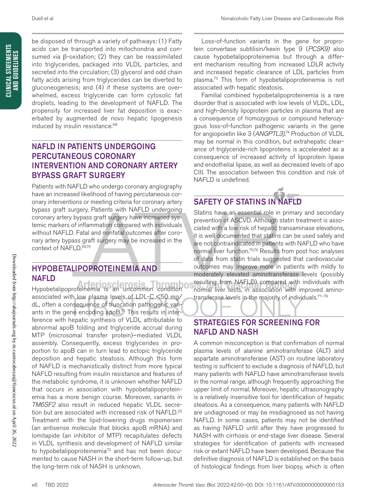**CLINICAL STATEMENTS AND GUIDELINES**

CLINICAL STATEMENTS<br>And Guidelines

be disposed of through a variety of pathways: (1) Fatty acids can be transported into mitochondria and consumed via β-oxidation; (2) they can be reassimilated into triglycerides, packaged into VLDL particles, and secreted into the circulation; (3) glycerol and odd chain fatty acids arising from triglycerides can be diverted to gluconeogenesis; and (4) if these systems are overwhelmed, excess triglyceride can form cytosolic fat droplets, leading to the development of NAFLD. The propensity for increased liver fat deposition is exacerbated by augmented de novo hepatic lipogenesis induced by insulin resistance.<sup>68</sup>

# NAFLD IN PATIENTS UNDERGOING PERCUTANEOUS CORONARY INTERVENTION AND CORONARY ARTERY BYPASS GRAFT SURGERY

Patients with NAFLD who undergo coronary angiography have an increased likelihood of having percutaneous coronary interventions or meeting criteria for coronary artery bypass graft surgery. Patients with NAFLD undergoing coronary artery bypass graft surgery have increased systemic markers of inflammation compared with individuals without NAFLD. Fatal and nonfatal outcomes after coronary artery bypass graft surgery may be increased in the context of NAFLD.69,70

## HYPOBETALIPOPROTEINEMIA AND NAFLD

Hypobetalipoproteinemia is an uncommon condition associated with low plasma levels of LDL-C <50 mg/ dL, often a consequence of truncation pathogenic variants in the gene encoding apoB.<sup>71</sup> This results in interference with hepatic synthesis of VLDL attributable to abnormal apoB folding and triglyceride accrual during MTP (microsomal transfer protein)–mediated VLDL assembly. Consequently, excess triglycerides in proportion to apoB can in turn lead to ectopic triglyceride deposition and hepatic steatosis. Although this form of NAFLD is mechanistically distinct from more typical NAFLD resulting from insulin resistance and features of the metabolic syndrome, it is unknown whether NAFLD that occurs in association with hypobetalipoproteinemia has a more benign course. Moreover, variants in *TM6SF2* also result in reduced hepatic VLDL secretion but are associated with increased risk of NAFLD.<sup>32</sup> Treatment with the lipid-lowering drugs mipomersen (an antisense molecule that blocks apoB mRNA) and lomitapide (an inhibitor of MTP) recapitulates defects in VLDL synthesis and development of NAFLD similar to hypobetalipoproteinemia<sup>72</sup> and has not been documented to cause NASH in the short-term follow-up, but the long-term risk of NASH is unknown.

Loss-of-function variants in the gene for proprotein convertase subtilisin/kexin type 9 (*PCSK9)* also cause hypobetalipoproteinemia but through a different mechanism resulting from increased LDLR activity and increased hepatic clearance of LDL particles from plasma.73 This form of hypobetalipoproteinemia is not associated with hepatic steatosis.

Familial combined hypobetalipoproteinemia is a rare disorder that is associated with low levels of VLDL, LDL, and high-density lipoprotein particles in plasma that are a consequence of homozygous or compound heterozygous loss-of-function pathogenic variants in the gene for angiopoietin like 3 (*ANGPTL3)*. 74 Production of VLDL may be normal in this condition, but extrahepatic clearance of triglyceride-rich lipoproteins is accelerated as a consequence of increased activity of lipoprotein lipase and endothelial lipase, as well as decreased levels of apo CIII. The association between this condition and risk of NAFLD is undefined.

# SAFETY OF STATINS IN NAFLD

Statins have an essential role in primary and secondary prevention of ASCVD. Although statin treatment is associated with a low risk of hepatic transaminase elevations, it is well documented that statins can be used safely and are not contraindicated in patients with NAFLD who have normal liver function.75,76 Results from post hoc analyses of data from statin trials suggested that cardiovascular outcomes may improve more in patients with mildly to moderately elevated aminotransferase levels (possibly resulting from NAFLD) compared with individuals with normal liver tests, in association with improved aminotransferase levels in the majority of individuals.<sup>77-79</sup>

# STRATEGIES FOR SCREENING FOR NAFLD AND NASH

A common misconception is that confirmation of normal plasma levels of alanine aminotransferase (ALT) and aspartate aminotransferase (AST) on routine laboratory testing is sufficient to exclude a diagnosis of NAFLD, but many patients with NAFLD have aminotransferase levels in the normal range, although frequently approaching the upper limit of normal. Moreover, hepatic ultrasonography is a relatively insensitive tool for identification of hepatic steatosis. As a consequence, many patients with NAFLD are undiagnosed or may be misdiagnosed as not having NAFLD. In some cases, patients may not be identified as having NAFLD until after they have progressed to NASH with cirrhosis or end-stage liver disease. Several strategies for identification of patients with increased risk or extant NAFLD have been developed. Because the definitive diagnosis of NAFLD is established on the basis of histological findings from liver biopsy, which is often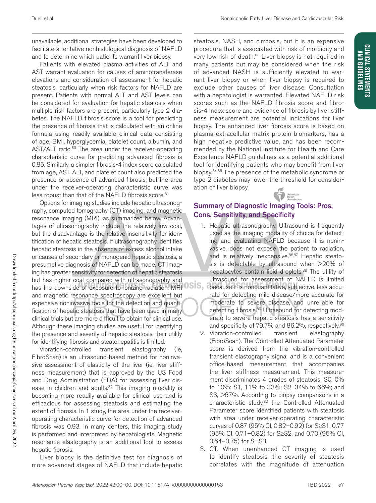unavailable, additional strategies have been developed to facilitate a tentative nonhistological diagnosis of NAFLD and to determine which patients warrant liver biopsy.

Patients with elevated plasma activities of ALT and AST warrant evaluation for causes of aminotransferase elevations and consideration of assessment for hepatic steatosis, particularly when risk factors for NAFLD are present. Patients with normal ALT and AST levels can be considered for evaluation for hepatic steatosis when multiple risk factors are present, particularly type 2 diabetes. The NAFLD fibrosis score is a tool for predicting the presence of fibrosis that is calculated with an online formula using readily available clinical data consisting of age, BMI, hyperglycemia, platelet count, albumin, and AST/ALT ratio.<sup>80</sup> The area under the receiver-operating characteristic curve for predicting advanced fibrosis is 0.85. Similarly, a simpler fibrosis-4 index score calculated from age, AST, ALT, and platelet count also predicted the presence or absence of advanced fibrosis, but the area under the receiver-operating characteristic curve was less robust than that of the NAFLD fibrosis score.<sup>81</sup>

Options for imaging studies include hepatic ultrasonography, computed tomography (CT) imaging, and magnetic resonance imaging (MRI), as summarized below. Advantages of ultrasonography include the relatively low cost, but the disadvantage is the relative insensitivity for identification of hepatic steatosis. If ultrasonography identifies hepatic steatosis in the absence of excess alcohol intake or causes of secondary or monogenic hepatic steatosis, a presumptive diagnosis of NAFLD can be made. CT imaging has greater sensitivity for detection of hepatic steatosis but has higher cost compared with ultrasonography and has the downside of exposure to ionizing radiation. MRI OSIS, a and magnetic resonance spectroscopy are excellent but expensive noninvasive tools for the detection and quantification of hepatic steatosis that have been used in many clinical trials but are more difficult to obtain for clinical use. Although these imaging studies are useful for identifying the presence and severity of hepatic steatosis, their utility for identifying fibrosis and steatohepatitis is limited.

Vibration-controlled transient elastography (ie, FibroScan) is an ultrasound-based method for noninvasive assessment of elasticity of the liver (ie, liver stiffness measurement) that is approved by the US Food and Drug Administration (FDA) for assessing liver disease in children and adults.<sup>82</sup> This imaging modality is becoming more readily available for clinical use and is efficacious for assessing steatosis and estimating the extent of fibrosis. In 1 study, the area under the receiveroperating characteristic curve for detection of advanced fibrosis was 0.93. In many centers, this imaging study is performed and interpreted by hepatologists. Magnetic resonance elastography is an additional tool to assess hepatic fibrosis.

Liver biopsy is the definitive test for diagnosis of more advanced stages of NAFLD that include hepatic steatosis, NASH, and cirrhosis, but it is an expensive procedure that is associated with risk of morbidity and very low risk of death.<sup>83</sup> Liver biopsy is not required in many patients but may be considered when the risk of advanced NASH is sufficiently elevated to warrant liver biopsy or when liver biopsy is required to exclude other causes of liver disease. Consultation with a hepatologist is warranted. Elevated NAFLD risk scores such as the NAFLD fibrosis score and fibrosis-4 index score and evidence of fibrosis by liver stiffness measurement are potential indications for liver biopsy. The enhanced liver fibrosis score is based on plasma extracellular matrix protein biomarkers, has a high negative predictive value, and has been recommended by the National Institute for Health and Care Excellence NAFLD guidelines as a potential additional tool for identifying patients who may benefit from liver biopsy.84,85 The presence of the metabolic syndrome or type 2 diabetes may lower the threshold for consideration of liver biopsy. American

## Summary of Diagnostic Imaging Tools: Pros, Cons, Sensitivity, and Specificity

- 1. Hepatic ultrasonography. Ultrasound is frequently used as the imaging modality of choice for detecting and evaluating NAFLD because it is noninvasive, does not expose the patient to radiation, and is relatively inexpensive.<sup>86,87</sup> Hepatic steatosis is detectable by ultrasound when >20% of hepatocytes contain lipid droplets.<sup>88</sup> The utility of ultrasound for assessment of NAFLD is limited because it is nonquantitative, subjective, less accurate for detecting mild disease/more accurate for moderate to severe disease, and unreliable for detecting fibrosis.<sup>89</sup> Ultrasound for detecting moderate to severe hepatic steatosis has a sensitivity and specificity of 79.7% and 86.2%, respectively.<sup>90</sup>
- 2. Vibration-controlled transient elastography (FibroScan). The Controlled Attenuated Parameter score is derived from the vibration-controlled transient elastography signal and is a convenient office-based measurement that accompanies the liver stiffness measurement. This measurement discriminates 4 grades of steatosis: S0, 0% to 10%; S1, 11% to 33%; S2, 34% to 66%; and S3, >67%. According to biopsy comparisons in a characteristic study,82 the Controlled Attenuated Parameter score identified patients with steatosis with area under receiver-operating characteristic curves of 0.87 (95% CI, 0.82–0.92) for S≥S1, 0.77 (95% CI, 0.71–0.82) for S≥S2, and 0.70 (95% CI, 0.64–0.75) for S=S3.
- 3. CT. When unenhanced CT imaging is used to identify steatosis, the severity of steatosis correlates with the magnitude of attenuation

**CLINICAL STATEMENTS**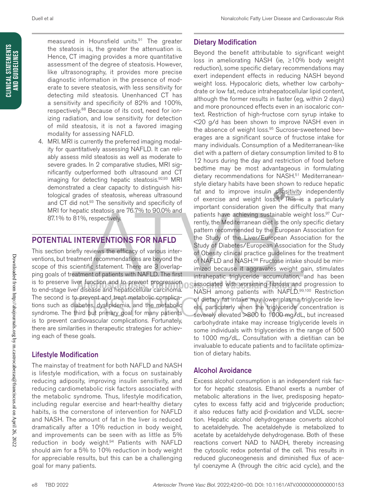measured in Hounsfield units.<sup>91</sup> The greater the steatosis is, the greater the attenuation is. Hence, CT imaging provides a more quantitative assessment of the degree of steatosis. However, like ultrasonography, it provides more precise diagnostic information in the presence of moderate to severe steatosis, with less sensitivity for detecting mild steatosis. Unenhanced CT has a sensitivity and specificity of 82% and 100%, respectively.<sup>88</sup> Because of its cost, need for ionizing radiation, and low sensitivity for detection of mild steatosis, it is not a favored imaging modality for assessing NAFLD.

4. MRI. MRI is currently the preferred imaging modality for quantitatively assessing NAFLD. It can reliably assess mild steatosis as well as moderate to severe grades. In 2 comparative studies, MRI significantly outperformed both ultrasound and CT imaging for detecting hepatic steatosis.<sup>92,93</sup> MRI demonstrated a clear capacity to distinguish histological grades of steatosis, whereas ultrasound and CT did not.<sup>93</sup> The sensitivity and specificity of MRI for hepatic steatosis are 76.7% to 90.0% and 87.1% to 81%, respectively.

# POTENTIAL INTERVENTIONS FOR NAFLD

This section briefly reviews the efficacy of various interventions, but treatment recommendations are beyond the scope of this scientific statement. There are 3 overlapping goals of treatment of patients with NAFLD. The first is to preserve liver function and to prevent progression to end-stage liver disease and hepatocellular carcinoma. The second is to prevent and treat metabolic complications such as diabetes, dyslipidemia, and the metabolic syndrome. The third but primary goal for many patients is to prevent cardiovascular complications. Fortunately, there are similarities in therapeutic strategies for achieving each of these goals.

# Lifestyle Modification

The mainstay of treatment for both NAFLD and NASH is lifestyle modification, with a focus on sustainably reducing adiposity, improving insulin sensitivity, and reducing cardiometabolic risk factors associated with the metabolic syndrome. Thus, lifestyle modification, including regular exercise and heart-healthy dietary habits, is the cornerstone of intervention for NAFLD and NASH. The amount of fat in the liver is reduced dramatically after a 10% reduction in body weight, and improvements can be seen with as little as 5% reduction in body weight.<sup>94</sup> Patients with NAFLD should aim for a 5% to 10% reduction in body weight for appreciable results, but this can be a challenging goal for many patients.

# Dietary Modification

Beyond the benefit attributable to significant weight loss in ameliorating NASH (ie, ≥10% body weight reduction), some specific dietary recommendations may exert independent effects in reducing NASH beyond weight loss. Hypocaloric diets, whether low carbohydrate or low fat, reduce intrahepatocellular lipid content, although the former results in faster (eg, within 2 days) and more pronounced effects even in an isocaloric context. Restriction of high-fructose corn syrup intake to <20 g/d has been shown to improve NASH even in the absence of weight loss.<sup>95</sup> Sucrose-sweetened beverages are a significant source of fructose intake for many individuals. Consumption of a Mediterranean-like diet with a pattern of dietary consumption limited to 8 to 12 hours during the day and restriction of food before bedtime may be most advantageous in formulating dietary recommendations for NASH.<sup>51</sup> Mediterraneanstyle dietary habits have been shown to reduce hepatic fat and to improve insulin sensitivity independently of exercise and weight loss.<sup>96</sup> This is a particularly important consideration given the difficulty that many patients have achieving sustainable weight loss.<sup>97</sup> Currently, the Mediterranean diet is the only specific dietary pattern recommended by the European Association for the Study of the Liver/European Association for the Study of Diabetes/European Association for the Study of Obesity clinical practice guidelines for the treatment of NAFLD and NASH.<sup>98</sup> Fructose intake should be minimized because it aggravates weight gain, stimulates intrahepatic triglyceride accumulation, and has been associated with worsening fibrosis and progression to NASH among patients with NAFLD.99,100 Restriction of dietary fat intake may lower plasma triglyceride levels, particularly when the triglyceride concentration is severely elevated >800 to 1000 mg/dL, but increased carbohydrate intake may increase triglyceride levels in some individuals with triglycerides in the range of 500 to 1000 mg/dL. Consultation with a dietitian can be invaluable to educate patients and to facilitate optimization of dietary habits.

# Alcohol Avoidance

Excess alcohol consumption is an independent risk factor for hepatic steatosis. Ethanol exerts a number of metabolic alterations in the liver, predisposing hepatocytes to excess fatty acid and triglyceride production; it also reduces fatty acid β-oxidation and VLDL secretion. Hepatic alcohol dehydrogenase converts alcohol to acetaldehyde. The acetaldehyde is metabolized to acetate by acetaldehyde dehydrogenase. Both of these reactions convert NAD to NADH, thereby increasing the cytosolic redox potential of the cell. This results in reduced gluconeogenesis and diminished flux of acetyl coenzyme A (through the citric acid cycle), and the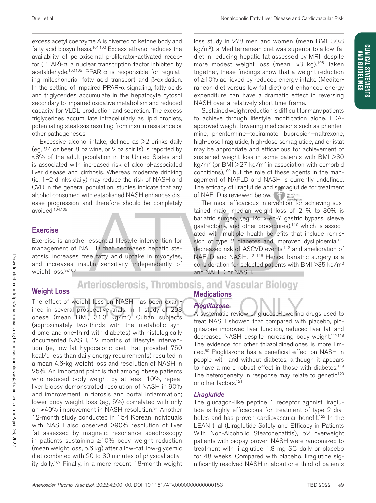**CLINICAL STATEMENTS AND GUIDELINES**

**CLINICAL STATEMENTS** AND GUIDELINES

excess acetyl coenzyme A is diverted to ketone body and fatty acid biosynthesis.<sup>101,102</sup> Excess ethanol reduces the availability of peroxisomal proliferator-activated receptor (PPAR)-α, a nuclear transcription factor inhibited by acetaldehyde.<sup>102,103</sup> PPAR- $\alpha$  is responsible for regulating mitochondrial fatty acid transport and β-oxidation. In the setting of impaired PPAR- $\alpha$  signaling, fatty acids and triglycerides accumulate in the hepatocyte cytosol secondary to impaired oxidative metabolism and reduced capacity for VLDL production and secretion. The excess triglycerides accumulate intracellularly as lipid droplets, potentiating steatosis resulting from insulin resistance or other pathogeneses.

Excessive alcohol intake, defined as >2 drinks daily (eg, 24 oz beer, 8 oz wine, or 2 oz spirits) is reported by ≈8% of the adult population in the United States and is associated with increased risk of alcohol-associated liver disease and cirrhosis. Whereas moderate drinking (ie, 1–2 drinks daily) may reduce the risk of NASH and CVD in the general population, studies indicate that any alcohol consumed with established NASH enhances disease progression and therefore should be completely avoided.104,105

# **Exercise**

Exercise is another essential lifestyle intervention for management of NAFLD that decreases hepatic steatosis, increases free fatty acid uptake in myocytes, and increases insulin sensitivity independently of weight loss.<sup>97,106</sup>

## **Arteriosclerosis, Thrombosis, and Vascular Biology Medications**

# Weight Loss

The effect of weight loss on NASH has been examined in several prospective trials. In 1 study of 293 obese (mean BMI, 31.3 kg/m2) Cuban subjects (approximately two-thirds with the metabolic syndrome and one-third with diabetes) with histologically documented NASH, 12 months of lifestyle intervention (ie, low-fat hypocaloric diet that provided 750 kcal/d less than daily energy requirements) resulted in a mean 4.6-kg weight loss and resolution of NASH in 25%. An important point is that among obese patients who reduced body weight by at least 10%, repeat liver biopsy demonstrated resolution of NASH in 90% and improvement in fibrosis and portal inflammation; lower body weight loss (eg, 5%) correlated with only an ≈40% improvement in NASH resolution. 94 Another 12-month study conducted in 154 Korean individuals with NASH also observed >90% resolution of liver fat assessed by magnetic resonance spectroscopy in patients sustaining ≥10% body weight reduction (mean weight loss, 5.6 kg) after a low-fat, low-glycemic diet combined with 20 to 30 minutes of physical activity daily.107 Finally, in a more recent 18-month weight

loss study in 278 men and women (mean BMI, 30.8  $kg/m<sup>2</sup>$ ), a Mediterranean diet was superior to a low-fat diet in reducing hepatic fat assessed by MRI, despite more modest weight loss (mean, ≈3 kg).108 Taken together, these findings show that a weight reduction of ≥10% achieved by reduced energy intake (Mediterranean diet versus low fat diet) and enhanced energy expenditure can have a dramatic effect in reversing NASH over a relatively short time frame.

Sustained weight reduction is difficult for many patients to achieve through lifestyle modification alone. FDAapproved weight-lowering medications such as phentermine, phentermine+topiramate, bupropion+naltrexone, high-dose liraglutide, high-dose semaglutide, and orlistat may be appropriate and efficacious for achievement of sustained weight loss in some patients with BMI >30 kg/m<sup>2</sup> (or BMI  $>$ 27 kg/m<sup>2</sup> in association with comorbid conditions),109 but the role of these agents in the management of NAFLD and NASH is currently undefined. The efficacy of liraglutide and semaglutide for treatment of NAFLD is reviewed below.

The most efficacious intervention for achieving sustained major median weight loss of 21% to 30% is bariatric surgery (eg, Roux-en-Y gastric bypass, sleeve gastrectomy, and other procedures),110 which is associated with multiple health benefits that include remission of type 2 diabetes and improved dyslipidemia,<sup>111</sup> decreased risk of ASCVD events,<sup>112</sup> and amelioration of NAFLD and NASH.<sup>113-116</sup> Hence, bariatric surgery is a consideration for selected patients with BMI >35 kg/m2 and NAFLD or NASH.

#### *Arterioscler Thromb Vasc Biol.* 2022;42:00–00. DOI: 10.1161/ATV.0000000000000153 TBD 2022 e9

A systematic review of glucose-lowering drugs used to treat NASH showed that compared with placebo, pioglitazone improved liver function, reduced liver fat, and decreased NASH despite increasing body weight.<sup>117,118</sup> The evidence for other thiazolidinediones is more limited.60 Pioglitazone has a beneficial effect on NASH in people with and without diabetes, although it appears to have a more robust effect in those with diabetes.<sup>119</sup> The heterogeneity in response may relate to genetic<sup>120</sup> or other factors.<sup>121</sup>

### *Liraglutide*

*Pioglitazone*

The glucagon-like peptide 1 receptor agonist liraglutide is highly efficacious for treatment of type 2 diabetes and has proven cardiovascular benefit.<sup>122</sup> In the LEAN trial (Liraglutide Safety and Efficacy in Patients With Non-Alcoholic Steatohepatitis), 52 overweight patients with biopsy-proven NASH were randomized to treatment with liraglutide 1.8 mg SC daily or placebo for 48 weeks. Compared with placebo, liraglutide significantly resolved NASH in about one-third of patients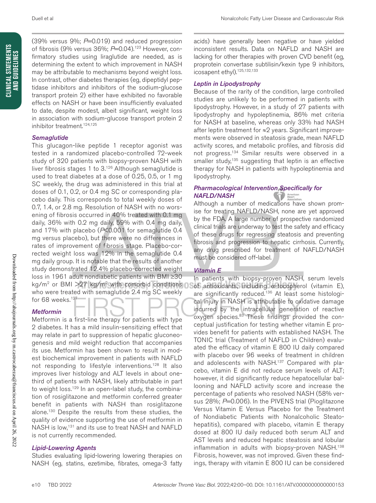(39% versus 9%; *P*=0.019) and reduced progression of fibrosis (9% versus 36%; P=0.04).<sup>123</sup> However, confirmatory studies using liraglutide are needed, as is determining the extent to which improvement in NASH may be attributable to mechanisms beyond weight loss. In contrast, other diabetes therapies (eg, dipeptidyl peptidase inhibitors and inhibitors of the sodium-glucose transport protein 2) either have exhibited no favorable effects on NASH or have been insufficiently evaluated to date, despite modest, albeit significant, weight loss in association with sodium-glucose transport protein 2 inhibitor treatment.<sup>124,125</sup>

#### *Semaglutide*

This glucagon-like peptide 1 receptor agonist was tested in a randomized placebo-controlled 72-week study of 320 patients with biopsy-proven NASH with liver fibrosis stages 1 to 3.126 Although semaglutide is used to treat diabetes at a dose of 0.25, 0.5, or 1 mg SC weekly, the drug was administered in this trial at doses of 0.1, 0.2, or 0.4 mg SC or corresponding placebo daily. This corresponds to total weekly doses of 0.7, 1.4, or 2.8 mg. Resolution of NASH with no worsening of fibrosis occurred in 40% treated with 0.1 mg daily, 36% with 0.2 mg daily, 59% with 0.4 mg daily, and 17% with placebo (*P*<0.001 for semaglutide 0.4 mg versus placebo), but there were no differences in rates of improvement of fibrosis stage. Placebo-corrected weight loss was 12% in the semaglutide 0.4 mg daily group. It is notable that the results of another study demonstrated 12.4% placebo-corrected weight loss in 1961 adult nondiabetic patients with BMI ≥30 kg/m<sup>2</sup> or BMI > 27 kg/m<sup>2</sup> with comorbid conditions  $\bigcap$ who were treated with semaglutide 2.4 mg SC weekly for 68 weeks.<sup>127</sup>

### *Metformin*

Metformin is a first-line therapy for patients with type 2 diabetes. It has a mild insulin-sensitizing effect that may relate in part to suppression of hepatic gluconeogenesis and mild weight reduction that accompanies its use. Metformin has been shown to result in modest biochemical improvement in patients with NAFLD not responding to lifestyle interventions.128 It also improves liver histology and ALT levels in about onethird of patients with NASH, likely attributable in part to weight loss.<sup>129</sup> In an open-label study, the combination of rosiglitazone and metformin conferred greater benefit in patients with NASH than rosiglitazone alone.130 Despite the results from these studies, the quality of evidence supporting the use of metformin in NASH is low,<sup>131</sup> and its use to treat NASH and NAFLD is not currently recommended.

### *Lipid-Lowering Agents*

Studies evaluating lipid-lowering lowering therapies on NASH (eg, statins, ezetimibe, fibrates, omega-3 fatty

acids) have generally been negative or have yielded inconsistent results. Data on NAFLD and NASH are lacking for other therapies with proven CVD benefit (eg, proprotein convertase subtilisin/kexin type 9 inhibitors, icosapent ethyl).<sup>125,132,133</sup>

### *Leptin in Lipodystrophy*

Because of the rarity of the condition, large controlled studies are unlikely to be performed in patients with lipodystrophy. However, in a study of 27 patients with lipodystrophy and hypoleptinemia, 86% met criteria for NASH at baseline, whereas only 33% had NASH after leptin treatment for ≈2 years. Significant improvements were observed in steatosis grade, mean NAFLD activity scores, and metabolic profiles, and fibrosis did not progress.134 Similar results were observed in a smaller study,<sup>135</sup> suggesting that leptin is an effective therapy for NASH in patients with hypoleptinemia and lipodystrophy.

#### *Pharmacological Intervention Specifically for NAFLD/NASH* American<br>Heart

Although a number of medications have shown promise for treating NAFLD/NASH, none are yet approved by the FDA. A large number of prospective randomized clinical trials are underway to test the safety and efficacy of these drugs for regressing steatosis and preventing fibrosis and progression to hepatic cirrhosis. Currently, any drug prescribed for treatment of NAFLD/NASH must be considered off-label.

### *Vitamin E*

In patients with biopsy-proven NASH, serum levels of antioxidants, including α-tocopherol (vitamin E), are significantly reduced.<sup>136</sup> At least some histological injury in NASH is attributable to oxidative damage incurred by the intracellular generation of reactive oxygen species.<sup>83</sup> These findings provided the conceptual justification for testing whether vitamin E provides benefit for patients with established NASH. The TONIC trial (Treatment of NAFLD in Children) evaluated the efficacy of vitamin E 800 IU daily compared with placebo over 96 weeks of treatment in children and adolescents with NASH.137 Compared with placebo, vitamin E did not reduce serum levels of ALT; however, it did significantly reduce hepatocellular ballooning and NAFLD activity score and increase the percentage of patients who resolved NASH (58% versus 28%; *P*=0.006). In the PIVENS trial (Pioglitazone Versus Vitamin E Versus Placebo for the Treatment of Nondiabetic Patients with Nonalcoholic Steatohepatitis), compared with placebo, vitamin E therapy dosed at 800 IU daily reduced both serum ALT and AST levels and reduced hepatic steatosis and lobular inflammation in adults with biopsy-proven NASH.<sup>138</sup> Fibrosis, however, was not improved. Given these findings, therapy with vitamin E 800 IU can be considered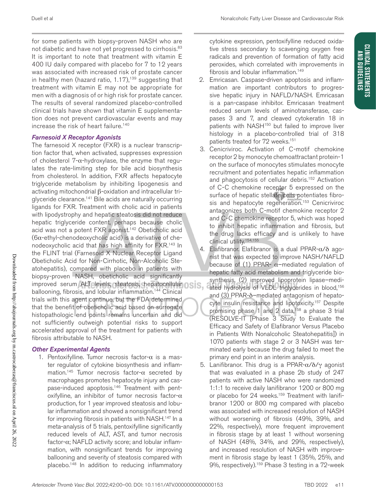for some patients with biopsy-proven NASH who are not diabetic and have not yet progressed to cirrhosis.<sup>83</sup> It is important to note that treatment with vitamin E 400 IU daily compared with placebo for 7 to 12 years was associated with increased risk of prostate cancer in healthy men (hazard ratio,  $1.17$ ),<sup>139</sup> suggesting that treatment with vitamin E may not be appropriate for men with a diagnosis of or high risk for prostate cancer. The results of several randomized placebo-controlled clinical trials have shown that vitamin E supplementation does not prevent cardiovascular events and may increase the risk of heart failure.<sup>140</sup>

#### *Farnesoid X Receptor Agonists*

The farnesoid X receptor (FXR) is a nuclear transcription factor that, when activated, suppresses expression of cholesterol 7-α-hydroxylase, the enzyme that regulates the rate-limiting step for bile acid biosynthesis from cholesterol. In addition, FXR affects hepatocyte triglyceride metabolism by inhibiting lipogenesis and activating mitochondrial β-oxidation and intracellular triglyceride clearance.141 Bile acids are naturally occurring ligands for FXR. Treatment with cholic acid in patients with lipodystrophy and hepatic steatosis did not reduce hepatic triglyceride content, perhaps because cholic acid was not a potent FXR agonist.142 Obeticholic acid  $(6\alpha$ -ethyl-chenodeoxycholic acid) is a derivative of chenodeoxycholic acid that has high affinity for FXR.143 In the FLINT trial (Farnesoid X Nuclear Receptor Ligand Obeticholic Acid for Non-Cirrhotic, Non-Alcoholic Steatohepatitis), compared with placebo in patients with biopsy-proven NASH, obeticholic acid significantly improved serum ALT levels, steatosis, hepatocellular OSIS. ballooning, fibrosis, and lobular inflammation.<sup>144</sup> Clinical trials with this agent continue, but the FDA determined that the benefit of obeticholic acid based on surrogate histopathologic end points remains uncertain and did not sufficiently outweigh potential risks to support accelerated approval of the treatment for patients with fibrosis attributable to NASH.

### *Other Experimental Agents*

1. Pentoxifylline. Tumor necrosis factor- $\alpha$  is a master regulator of cytokine biosynthesis and inflammation.<sup>145</sup> Tumor necrosis factor- $\alpha$  secreted by macrophages promotes hepatocyte injury and caspase-induced apoptosis.<sup>146</sup> Treatment with pentoxifylline, an inhibitor of tumor necrosis factor- $\alpha$ production, for 1 year improved steatosis and lobular inflammation and showed a nonsignificant trend for improving fibrosis in patients with NASH.<sup>147</sup> In a meta-analysis of 5 trials, pentoxifylline significantly reduced levels of ALT, AST, and tumor necrosis factor-α; NAFLD activity score; and lobular inflammation, with nonsignificant trends for improving ballooning and severity of steatosis compared with placebo.<sup>148</sup> In addition to reducing inflammatory cytokine expression, pentoxifylline reduced oxidative stress secondary to scavenging oxygen free radicals and prevention of formation of fatty acid peroxides, which correlated with improvements in fibrosis and lobular inflammation.<sup>149</sup>

- 2. Emricasan. Caspase-driven apoptosis and inflammation are important contributors to progressive hepatic injury in NAFLD/NASH. Emricasan is a pan-caspase inhibitor. Emricasan treatment reduced serum levels of aminotransferase, caspases 3 and 7, and cleaved cytokeratin 18 in patients with NASH<sup>150</sup> but failed to improve liver histology in a placebo-controlled trial of 318 patients treated for 72 weeks.<sup>151</sup>
- 3. Cenicriviroc. Activation of C-motif chemokine receptor 2 by monocyte chemoattractant protein-1 on the surface of monocytes stimulates monocyte recruitment and potentiates hepatic inflammation and phagocytosis of cellular debris.152 Activation of C-C chemokine receptor 5 expressed on the surface of hepatic stellate cells potentiates fibrosis and hepatocyte regeneration.<sup>153</sup> Cenicriviroc antagonizes both C-motif chemokine receptor 2 and C-C chemokine receptor 5, which was hoped to inhibit hepatic inflammation and fibrosis, but the drug lacks efficacy and is unlikely to have clinical utility.154,155
- 4. Elafibranor. Elafibranor is a dual PPAR-α/δ agonist that was expected to improve NASH/NAFLD because of (1) PPAR-  $\alpha$ -mediated regulation of hepatic fatty acid metabolism and triglyceride biosynthesis, (2) improved lipoprotein lipase–mediated hydrolysis of VLDL triglycerides in blood,<sup>156</sup> and (3) PPAR-δ–mediated antagonism of hepatocyte insulin resistance and lipotoxicity.<sup>157</sup> Despite promising phase 1 and 2 data,<sup>158</sup> a phase 3 trial (RESOLVE-IT [Phase 3 Study to Evaluate the Efficacy and Safety of Elafibranor Versus Placebo in Patients With Nonalcoholic Steatohepatitis]) in 1070 patients with stage 2 or 3 NASH was terminated early because the drug failed to meet the primary end point in an interim analysis.
- 5. Lanifibranor. This drug is a PPAR-α/δ/γ agonist that was evaluated in a phase 2b study of 247 patients with active NASH who were randomized 1:1:1 to receive daily lanifibranor 1200 or 800 mg or placebo for 24 weeks.<sup>159</sup> Treatment with lanifibranor 1200 or 800 mg compared with placebo was associated with increased resolution of NASH without worsening of fibrosis (49%, 39%, and 22%, respectively), more frequent improvement in fibrosis stage by at least 1 without worsening of NASH (48%, 34%, and 29%, respectively), and increased resolution of NASH with improvement in fibrosis stage by least 1 (35%, 25%, and 9%, respectively).159 Phase 3 testing in a 72-week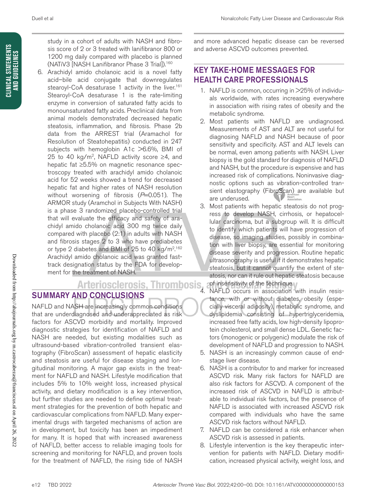study in a cohort of adults with NASH and fibrosis score of 2 or 3 treated with lanifibranor 800 or 1200 mg daily compared with placebo is planned (NATiV3 [NASH Lanifibranor Phase 3 Trial]).160

6. Arachidyl amido cholanoic acid is a novel fatty acid–bile acid conjugate that downregulates stearoyl-CoA desaturase 1 activity in the liver.<sup>161</sup> Stearoyl-CoA desaturase 1 is the rate-limiting enzyme in conversion of saturated fatty acids to monounsaturated fatty acids. Preclinical data from animal models demonstrated decreased hepatic steatosis, inflammation, and fibrosis. Phase 2b data from the ARREST trial (Aramachol for Resolution of Steatohepatitis) conducted in 247 subjects with hemoglobin A1c >6.6%, BMI of 25 to 40 kg/m<sup>2</sup>, NAFLD activity score ≥4, and hepatic fat ≥5.5% on magnetic resonance spectroscopy treated with arachidyl amido cholanoic acid for 52 weeks showed a trend for decreased hepatic fat and higher rates of NASH resolution without worsening of fibrosis (P=0.051). The ARMOR study (Aramchol in Subjects With NASH) is a phase 3 randomized placebo-controlled trial that will evaluate the efficacy and safety of arachidyl amido cholanoic acid 300 mg twice daily compared with placebo (2:1) in adults with NASH and fibrosis stages 2 to 3 who have prediabetes or type 2 diabetes and BMI of 25 to 40 kg/m<sup>2,162</sup> Arachidyl amido cholanoic acid was granted fasttrack designation status by the FDA for develop-

# ment for the treatment of NASH. SUMMARY AND CONCLUSIONS

NAFLD and NASH are increasingly common conditions that are underdiagnosed and underappreciated as risk factors for ASCVD morbidity and mortality. Improved diagnostic strategies for identification of NAFLD and NASH are needed, but existing modalities such as ultrasound-based vibration-controlled transient elastography (FibroScan) assessment of hepatic elasticity and steatosis are useful for disease staging and longitudinal monitoring. A major gap exists in the treatment for NAFLD and NASH. Lifestyle modification that includes 5% to 10% weight loss, increased physical activity, and dietary modification is a key intervention, but further studies are needed to define optimal treatment strategies for the prevention of both hepatic and cardiovascular complications from NAFLD. Many experimental drugs with targeted mechanisms of action are in development, but toxicity has been an impediment for many. It is hoped that with increased awareness of NAFLD, better access to reliable imaging tools for screening and monitoring for NAFLD, and proven tools for the treatment of NAFLD, the rising tide of NASH

and more advanced hepatic disease can be reversed and adverse ASCVD outcomes prevented.

# KEY TAKE-HOME MESSAGES FOR HEALTH CARE PROFESSIONALS

- 1. NAFLD is common, occurring in >25% of individuals worldwide, with rates increasing everywhere in association with rising rates of obesity and the metabolic syndrome.
- 2. Most patients with NAFLD are undiagnosed. Measurements of AST and ALT are not useful for diagnosing NAFLD and NASH because of poor sensitivity and specificity. AST and ALT levels can be normal, even among patients with NASH. Liver biopsy is the gold standard for diagnosis of NAFLD and NASH, but the procedure is expensive and has increased risk of complications. Noninvasive diagnostic options such as vibration-controlled transient elastography (FibroScan) are available but are underused.
- 3. Most patients with hepatic steatosis do not progress to develop NASH, cirrhosis, or hepatocellular carcinoma, but a subgroup will. It is difficult to identify which patients will have progression of disease, so imaging studies, possibly in combination with liver biopsy, are essential for monitoring disease severity and progression. Routine hepatic ultrasonography is useful if it demonstrates hepatic steatosis, but it cannot quantify the extent of steatosis, nor can it rule out hepatic steatosis because of insensitivity of the technique.
	- NAFLD occurs in association with insulin resistance, with or without diabetes, obesity (especially visceral adiposity), metabolic syndrome, and dyslipidemia consisting of hypertriglyceridemia, increased free fatty acids, low high-density lipoprotein cholesterol, and small dense LDL. Genetic factors (monogenic or polygenic) modulate the risk of development of NAFLD and progression to NASH.
- 5. NASH is an increasingly common cause of endstage liver disease.
- 6. NASH is a contributor to and marker for increased ASCVD risk. Many risk factors for NAFLD are also risk factors for ASCVD. A component of the increased risk of ASCVD in NAFLD is attributable to individual risk factors, but the presence of NAFLD is associated with increased ASCVD risk compared with individuals who have the same ASCVD risk factors without NAFLD.
- 7. NAFLD can be considered a risk enhancer when ASCVD risk is assessed in patients.
- 8. Lifestyle intervention is the key therapeutic intervention for patients with NAFLD. Dietary modification, increased physical activity, weight loss, and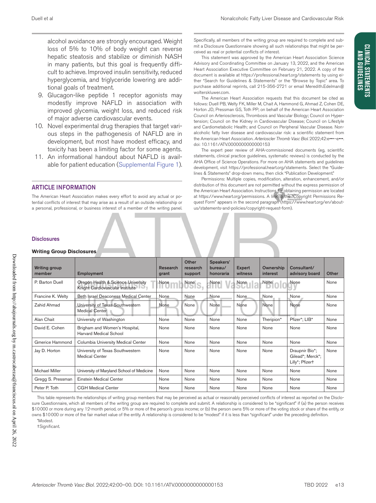**CLINICAL STATEMENTS AND GUIDELINES**

**CLINICAL STATEMENTS AND GUIDELINES** 

alcohol avoidance are strongly encouraged. Weight loss of 5% to 10% of body weight can reverse hepatic steatosis and stabilize or diminish NASH in many patients, but this goal is frequently difficult to achieve. Improved insulin sensitivity, reduced hyperglycemia, and triglyceride lowering are additional goals of treatment.

- 9. Glucagon-like peptide 1 receptor agonists may modestly improve NAFLD in association with improved glycemia, weight loss, and reduced risk of major adverse cardiovascular events.
- 10. Novel experimental drug therapies that target various steps in the pathogenesis of NAFLD are in development, but most have modest efficacy, and toxicity has been a limiting factor for some agents.
- 11. An informational handout about NAFLD is available for patient education (Supplemental Figure 1).

#### ARTICLE INFORMATION

The American Heart Association makes every effort to avoid any actual or potential conflicts of interest that may arise as a result of an outside relationship or a personal, professional, or business interest of a member of the writing panel.

Specifically, all members of the writing group are required to complete and submit a Disclosure Questionnaire showing all such relationships that might be perceived as real or potential conflicts of interest.

This statement was approved by the American Heart Association Science Advisory and Coordinating Committee on January 13, 2022, and the American Heart Association Executive Committee on February 21, 2022. A copy of the document is available at https://professional.heart.org/statements by using either "Search for Guidelines & Statements" or the "Browse by Topic" area. To purchase additional reprints, call 215-356-2721 or email [Meredith.Edelman@](mailto:Meredith.Edelman@wolterskluwer.com) [wolterskluwer.com](mailto:Meredith.Edelman@wolterskluwer.com).

The American Heart Association requests that this document be cited as follows: Duell PB, Welty FK, Miller M, Chait A, Hammond G, Ahmad Z, Cohen DE, Horton JD, Pressman GS, Toth PP; on behalf of the American Heart Association Council on Arteriosclerosis, Thrombosis and Vascular Biology; Council on Hypertension; Council on the Kidney in Cardiovascular Disease; Council on Lifestyle and Cardiometabolic Health; and Council on Peripheral Vascular Disease. Nonalcoholic fatty liver disease and cardiovascular risk: a scientific statement from the American Heart Association. *Arterioscler Thromb Vasc Biol*. 2022;42:e•••–e•••. doi: 10.1161/ATV.0000000000000153

The expert peer review of AHA-commissioned documents (eg, scientific statements, clinical practice guidelines, systematic reviews) is conducted by the AHA Office of Science Operations. For more on AHA statements and guidelines development, visit https://professional.heart.org/statements. Select the "Guidelines & Statements" drop-down menu, then click "Publication Development."

Permissions: Multiple copies, modification, alteration, enhancement, and/or distribution of this document are not permitted without the express permission of the American Heart Association. Instructions for obtaining permission are located at https://www.heart.org/permissions. A link to the "Copyright Permissions Request Form" appears in the second paragraph (https://www.heart.org/en/aboutus/statements-and-policies/copyright-request-form).

#### **Disclosures**

#### **Writing Group Disclosures**

| <b>Writing Group Disclosures</b> |                                                                       |                   |                              |                                   |                          |                           |                                                       |       |
|----------------------------------|-----------------------------------------------------------------------|-------------------|------------------------------|-----------------------------------|--------------------------|---------------------------|-------------------------------------------------------|-------|
| Writing group<br>member          | Employment                                                            | Research<br>grant | Other<br>research<br>support | Speakers'<br>bureau/<br>honoraria | <b>Expert</b><br>witness | Ownership<br>interest     | Consultant/<br>advisory board                         | Other |
| P. Barton Duell                  | Oregon Health & Science University<br>Knight Cardiovascular Institute | None              | None<br>יפופח                | None<br>v                         | None<br>Suit a           | $\Gamma^{\text{None}}$ 00 | None                                                  | None  |
| Francine K. Welty                | Beth Israel Deaconess Medical Center                                  | <b>None</b>       | None                         | <b>None</b>                       | None                     | None                      | None                                                  | None  |
| Zahid Ahmad                      | University of Texas Southwestern<br><b>Medical Center</b>             | None              | None                         | None                              | None                     | None                      | None                                                  | None  |
| Alan Chait                       | University of Washington                                              | None              | None                         | None                              | None                     | Theripion*                | Pfizer*; LIB*                                         | None  |
| David E. Cohen                   | Brigham and Women's Hospital,<br>Harvard Medical School               | None              | None                         | None                              | None                     | None                      | None                                                  | None  |
| Gmerice Hammond                  | Columbia University Medical Center                                    | None              | None                         | None                              | None                     | None                      | None                                                  | None  |
| Jay D. Horton                    | University of Texas Southwestern<br><b>Medical Center</b>             | None              | None                         | None                              | None                     | None                      | Draupnir Bio*;<br>Gilead*; Merck*;<br>Lilly*; Pfizert | None  |
| <b>Michael Miller</b>            | University of Maryland School of Medicine                             | None              | None                         | None                              | None                     | None                      | None                                                  | None  |
| Gregg S. Pressman                | Einstein Medical Center                                               | None              | None                         | None                              | None                     | None                      | None                                                  | None  |
| Peter P. Toth                    | <b>CGH Medical Center</b>                                             | None              | None                         | None                              | None                     | None                      | None                                                  | None  |

This table represents the relationships of writing group members that may be perceived as actual or reasonably perceived conflicts of interest as reported on the Disclosure Questionnaire, which all members of the writing group are required to complete and submit. A relationship is considered to be "significant" if (a) the person receives \$10000 or more during any 12-month period, or 5% or more of the person's gross income; or (b) the person owns 5% or more of the voting stock or share of the entity, or owns \$10000 or more of the fair market value of the entity. A relationship is considered to be "modest" if it is less than "significant" under the preceding definition. \*Modest.

†Significant.

Downloaded from http://ahajournals.org by m.castrocabezas@franciscus.nl on April 26, 2022

Downloaded from http://ahajournals.org by m.castrocabezas@franciscus.nl on April 26, 2022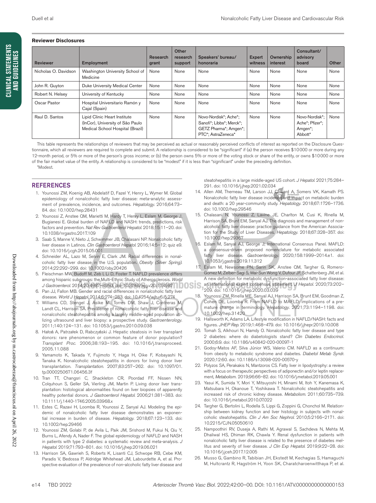#### **Reviewer Disclosures**

| <b>Reviewer</b>      | Employment                                                                                           | Research<br>grant | Other<br>research<br>support | Speakers' bureau/<br>honoraria                                                                   | <b>Expert</b><br>witness | Ownership<br>interest | Consultant/<br>advisory<br>board                        | Other |
|----------------------|------------------------------------------------------------------------------------------------------|-------------------|------------------------------|--------------------------------------------------------------------------------------------------|--------------------------|-----------------------|---------------------------------------------------------|-------|
| Nicholas O. Davidson | Washington University School of<br>Medicine                                                          | None              | None                         | None                                                                                             | None                     | None                  | None                                                    | None  |
| John R. Guyton       | Duke University Medical Center                                                                       | None              | None                         | None                                                                                             | None                     | None                  | None                                                    | None  |
| Robert N. Helsey     | University of Kentucky                                                                               | None              | None                         | None                                                                                             | None                     | None                  | None                                                    | None  |
| Oscar Pastor         | Hospital Universitario Ramón y<br>Cajal (Spain)                                                      | None              | None                         | None                                                                                             | None                     | None                  | None                                                    | None  |
| Raul D. Santos       | Lipid Clinic Heart Institute<br>(InCor), University of São Paulo<br>Medical School Hospital (Brazil) | None              | None                         | Novo-Nordisk*; Ache*;<br>Sanofi*; Libbs*; Merck*;<br>GETZ Pharma*; Amgen*;<br>PTC*; AstraZeneca* | None                     | None                  | Novo-Nordisk*:<br>Ache*; Pfizer*;<br>Amgen*;<br>Abbott* | None  |

This table represents the relationships of reviewers that may be perceived as actual or reasonably perceived conflicts of interest as reported on the Disclosure Questionnaire, which all reviewers are required to complete and submit. A relationship is considered to be "significant" if (a) the person receives \$10000 or more during any 12-month period, or 5% or more of the person's gross income; or (b) the person owns 5% or more of the voting stock or share of the entity, or owns \$10000 or more of the fair market value of the entity. A relationship is considered to be "modest" if it is less than "significant" under the preceding definition.

#### **REFERENCES**

\*Modest.

- 1. Younossi ZM, Koenig AB, Abdelatif D, Fazel Y, Henry L, Wymer M. Global epidemiology of nonalcoholic fatty liver disease: meta-analytic assessment of prevalence, incidence, and outcomes. *Hepatology*. 2016;64:73– 84. doi: 10.1002/hep.28431
- 2. Younossi Z, Anstee QM, Marietti M, Hardy T, Henry L, Eslam M, George J, Bugianesi E. Global burden of NAFLD and NASH: trends, predictions, risk factors and prevention. *Nat Rev Gastroenterol Hepatol*. 2018;15:11–20. doi: 10.1038/nrgastro.2017.109
- 3. Saab S, Manne V, Nieto J, Schwimmer JB, Chalasani NP. Nonalcoholic fatty liver disease in Latinos. *Clin Gastroenterol Hepatol*. 2016;14:5–12; quiz e9. doi: 10.1016/j.cgh.2015.05.001
- 4. Schneider AL, Lazo M, Selvin E, Clark JM. Racial differences in nonalcoholic fatty liver disease in the U.S. population. *Obesity (Silver Spring)*. 2014;22:292–299. doi: 10.1002/oby.20426
- 5. Fleischman MW, Budoff M, Zeb I, Li D, Foster T. NAFLD prevalence differs among hispanic subgroups: the Multi-Ethnic Study of Atherosclerosis. *World J Gastroenterol*. 2014;20:4987–4993. doi: 10.3748/wjg.v20.i17.4987
- 6. Pan JJ, Fallon MB. Gender and racial differences in nonalcoholic fatty liver disease. *World J Hepatol*. 2014;6:274–283. doi: 10.4254/wjh.v6.i5.274
- 7. Williams CD, Stengel J, Asike MI, Torres DM, Shaw J, Contreras M, Landt CL, Harrison SA. Prevalence of nonalcoholic fatty liver disease and nonalcoholic steatohepatitis among a largely middle-aged population utilizing ultrasound and liver biopsy: a prospective study. *Gastroenterology*. 2011;140:124–131. doi: 10.1053/j.gastro.2010.09.038
- 8. Hałoń A, Patrzałek D, Rabczyński J. Hepatic steatosis in liver transplant donors: rare phenomenon or common feature of donor population? *Transplant Proc*. 2006;38:193–195. doi: 10.1016/j.transproceed. 2005.11.088
- 9. Yamamoto K, Takada Y, Fujimoto Y, Haga H, Oike F, Kobayashi N, Tanaka K. Nonalcoholic steatohepatitis in donors for living donor liver transplantation. *Transplantation*. 2007;83:257–262. doi: 10.1097/01. tp.0000250671.06456.3f
- 10. Tran TT, Changsri C, Shackleton CR, Poordad FF, Nissen NN, Colquhoun S, Geller SA, Vierling JM, Martin P. Living donor liver transplantation: histological abnormalities found on liver biopsies of apparently healthy potential donors. *J Gastroenterol Hepatol*. 2006;21:381–383. doi: 10.1111/j.1440-1746.2005.03968.x
- 11. Estes C, Razavi H, Loomba R, Younossi Z, Sanyal AJ. Modeling the epidemic of nonalcoholic fatty liver disease demonstrates an exponential increase in burden of disease. *Hepatology*. 2018;67:123–133. doi: 10.1002/hep.29466
- 12. Younossi ZM, Golabi P, de Avila L, Paik JM, Srishord M, Fukui N, Qiu Y, Burns L, Afendy A, Nader F. The global epidemiology of NAFLD and NASH in patients with type 2 diabetes: a systematic review and meta-analysis. *J Hepatol*. 2019;71:793–801. doi: 10.1016/j.jhep.2019.06.021
- 13. Harrison SA, Gawrieh S, Roberts K, Lisanti CJ, Schwope RB, Cebe KM, Paradis V, Bedossa P, Aldridge Whitehead JM, Labourdette A, et al. Prospective evaluation of the prevalence of non-alcoholic fatty liver disease and

steatohepatitis in a large middle-aged US cohort. *J Hepatol*. 2021;75:284– 291. doi: 10.1016/j.jhep.2021.02.034

- 14. Allen AM, Therneau TM, Larson JJ, Coward A, Somers VK, Kamath PS. Nonalcoholic fatty liver disease incidence and impact on metabolic burden and death: a 20 year-community study. *Hepatology*. 2018;67:1726–1736. doi: 10.1002/hep.29546
- 15. Chalasani N, Younossi Z, Lavine JE, Charlton M, Cusi K, Rinella M, Harrison SA, Brunt EM, Sanyal AJ. The diagnosis and management of nonalcoholic fatty liver disease: practice guidance from the American Association for the Study of Liver Diseases. *Hepatology*. 2018;67:328–357. doi: 10.1002/hep.29367
- 16. Eslam M, Sanyal AJ, George J; International Consensus Panel. MAFLD: a consensus-driven proposed nomenclature for metabolic associated fatty liver disease. *Gastroenterology*. 2020;158:1999–2014.e1. doi: 10.1053/j.gastro.2019.11.312
- 17. Eslam M, Newsome PN, Sarin SK, Anstee QM, Targher G, Romero-Gomez M, Zelber-Sagi S, Wai-Sun Wong V, Dufour JF, Schattenberg JM, et al. A new definition for metabolic dysfunction-associated fatty liver disease:
- an international expert consensus statement. *J Hepatol*. 2020;73:202– 209. doi: 10.1016/j.jhep.2020.03.039
- 18. Younossi ZM, Rinella ME, Sanyal AJ, Harrison SA, Brunt EM, Goodman Z, Cohen DE, Loomba R. From NAFLD to MAFLD: implications of a premature change in terminology. *Hepatology*. 2021;73:1194–1198. doi: 10.1002/hep.31420
- Hallsworth K, Adams LA. Lifestyle modification in NAFLD/NASH: facts and figures. *JHEP Rep*. 2019;1:468–479. doi: 10.1016/j.jhepr.2019.10.008
- 20. Tomah S, Alkhouri N, Hamdy O. Nonalcoholic fatty liver disease and type 2 diabetes: where do diabetologists stand? *Clin Diabetes Endocrinol.* 2000;6:9. doi: 10.1186/s40842-020-00097-1
- 21. Godoy-Matos AF, Silva Júnior WS, Valerio CM. NAFLD as a continuum: from obesity to metabolic syndrome and diabetes. *Diabetol Metab Syndr*. 2020;12:60. doi: 10.1186/s13098-020-00570-y
- 22. Polyzos SA, Perakakis N, Mantzoros CS. Fatty liver in lipodystrophy: a review with a focus on therapeutic perspectives of adiponectin and/or leptin replacement, *Metabolism.* 2019;96:66–82. doi: 10.1016/j.metabol.2019.05.001
- 23. Yasui K, Sumida Y, Mori Y, Mitsuyoshi H, Minami M, Itoh Y, Kanemasa K, Matsubara H, Okanoue T, Yoshikawa T. Nonalcoholic steatohepatitis and increased risk of chronic kidney disease. *Metabolism*. 2011;60:735–739. doi: 10.1016/j.metabol.2010.07.022
- 24. Targher G, Bertolini L, Rodella S, Lippi G, Zoppini G, Chonchol M. Relationship between kidney function and liver histology in subjects with nonalcoholic steatohepatitis. *Clin J Am Soc Nephrol*. 2010;5:2166–2171. doi: 10.2215/CJN.05050610
- 25. Nampoothiri RV, Duseja A, Rathi M, Agrawal S, Sachdeva N, Mehta M, Dhaliwal HS, Dhiman RK, Chawla Y. Renal dysfunction in patients with nonalcoholic fatty liver disease is related to the presence of diabetes mellitus and severity of liver disease. *J Clin Exp Hepatol*. 2019;9:22–28. doi: 10.1016/j.jceh.2017.12.005
- 26. Musso G, Gambino R, Tabibian JH, Ekstedt M, Kechagias S, Hamaguchi M, Hultcrantz R, Hagström H, Yoon SK, Charatcharoenwitthaya P, et al.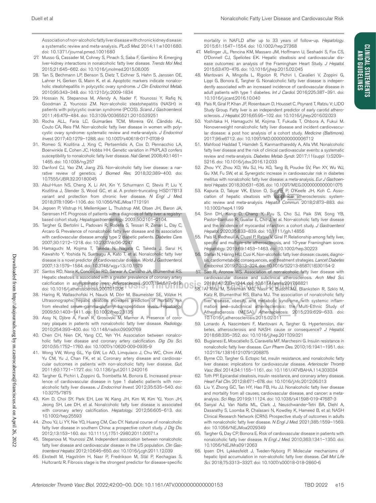Association of non-alcoholic fatty liver disease with chronic kidney disease: a systematic review and meta-analysis. *PLoS Med*. 2014;11:e1001680. doi: 10.1371/journal.pmed.1001680

- 27. Musso G, Cassader M, Cohney S, Pinach S, Saba F, Gambino R. Emerging liver-kidney interactions in nonalcoholic fatty liver disease. *Trends Mol Med*. 2015;21:645–662. doi: 10.1016/j.molmed.2015.08.005
- 28. Tan S, Bechmann LP, Benson S, Dietz T, Eichner S, Hahn S, Janssen OE, Lahner H, Gerken G, Mann K, et al. Apoptotic markers indicate nonalcoholic steatohepatitis in polycystic ovary syndrome. *J Clin Endocrinol Metab*. 2010;95:343–348. doi: 10.1210/jc.2009-1834
- 29. Hossain N, Stepanova M, Afendy A, Nader F, Younossi Y, Rafiq N, Goodman Z, Younossi ZM. Non-alcoholic steatohepatitis (NASH) in patients with polycystic ovarian syndrome (PCOS). *Scand J Gastroenterol*. 2011;46:479–484. doi: 10.3109/00365521.2010.539251
- 30. Rocha ALL, Faria LC, Guimarães TCM, Moreira GV, Cândido AL, Couto CA, Reis FM. Non-alcoholic fatty liver disease in women with polycystic ovary syndrome: systematic review and meta-analysis. *J Endocrinol Invest*. 2017;40:1279–1288. doi: 10.1007/s40618-017-0708-9
- 31. Romeo S, Kozlitina J, Xing C, Pertsemlidis A, Cox D, Pennacchio LA, Boerwinkle E, Cohen JC, Hobbs HH. Genetic variation in PNPLA3 confers susceptibility to nonalcoholic fatty liver disease. *Nat Genet*. 2008;40:1461– 1465. doi: 10.1038/ng.257
- 32. Danford CJ, Yao ZM, Jiang ZG. Non-alcoholic fatty liver disease: a narrative review of genetics. *J Biomed Res*. 2018;32:389–400. doi: 10.7555/JBR.32.20180045
- 33. Abul-Husn NS, Cheng X, Li AH, Xin Y, Schurmann C, Stevis P, Liu Y, Kozlitina J, Stender S, Wood GC, et al. A protein-truncating HSD17B13 variant and protection from chronic liver disease. *N Engl J Med*. 2018;378:1096–1106. doi: 10.1056/NEJMoa1712191
- 34. Jepsen P, Vilstrup H, Mellemkjaer L, Thulstrup AM, Olsen JH, Baron JA, Sørensen HT. Prognosis of patients with a diagnosis of fatty liver: a registrybased cohort study. *Hepatogastroenterology*. 2003;50:2101–2104.
- 35. Targher G, Bertolini L, Padovani R, Rodella S, Tessari R, Zenari L, Day C, Arcaro G. Prevalence of nonalcoholic fatty liver disease and its association with cardiovascular disease among type 2 diabetic patients. *Diabetes Care*. 2007;30:1212–1218. doi: 10.2337/dc06-2247
- 36. Hamaguchi M, Kojima T, Takeda N, Nagata C, Takeda J, Sarui H, Kawahito Y, Yoshida N, Suetsugu A, Kato T, et al. Nonalcoholic fatty liver disease is a novel predictor of cardiovascular disease. *World J Gastroenterol*. 2007;13:1579–1584. doi: 10.3748/wjg.v13.i10.1579
- 37. Santos RD, Nasir K, Conceição RD, Sarwar A, Carvalho JA, Blumenthal RS. Hepatic steatosis is associated with a greater prevalence of coronary artery calcification in asymptomatic men. *Atherosclerosis*. 2007;194:517–519. doi: 10.1016/j.atherosclerosis.2007.01.026
- 38. Haring R, Wallaschofski H, Nauck M, Dörr M, Baumeister SE, Völzke H. Ultrasonographic hepatic steatosis increases prediction of mortality risk from elevated serum gamma-glutamyl transpeptidase levels. *Hepatology*. 2009;50:1403–1411. doi: 10.1002/hep.23135
- 39. Assy N, Djibre A, Farah R, Grosovski M, Marmor A. Presence of coronary plaques in patients with nonalcoholic fatty liver disease. *Radiology*. 2010;254:393–400. doi: 10.1148/radiol.09090769
- 40. Chen CH, Nien CK, Yang CC, Yeh YH. Association between nonalcoholic fatty liver disease and coronary artery calcification. *Dig Dis Sci*. 2010;55:1752–1760. doi: 10.1007/s10620-009-0935-9
- 41. Wong VW, Wong GL, Yip GW, Lo AO, Limquiaco J, Chu WC, Chim AM, Yu CM, Yu J, Chan FK, et al. Coronary artery disease and cardiovascular outcomes in patients with non-alcoholic fatty liver disease. *Gut*. 2011;60:1721–1727. doi: 10.1136/gut.2011.242016
- 42. Targher G, Pichiri I, Zoppini G, Trombetta M, Bonora E. Increased prevalence of cardiovascular disease in type 1 diabetic patients with nonalcoholic fatty liver disease. *J Endocrinol Invest*. 2012;35:535–540. doi: 10.3275/7875
- 43. Kim D, Choi SY, Park EH, Lee W, Kang JH, Kim W, Kim YJ, Yoon JH, Jeong SH, Lee DH, et al. Nonalcoholic fatty liver disease is associated with coronary artery calcification. *Hepatology*. 2012;56:605–613. doi: 10.1002/hep.25593
- 44. Zhou YJ, Li YY, Nie YQ, Huang CM, Cao CY. Natural course of nonalcoholic fatty liver disease in southern China: a prospective cohort study. *J Dig Dis*. 2012;13:153–160. doi: 10.1111/j.1751-2980.2011.00571.x
- Stepanova M, Younossi ZM. Independent association between nonalcoholic fatty liver disease and cardiovascular disease in the US population. *Clin Gastroenterol Hepatol*. 2012;10:646–650. doi: 10.1016/j.cgh.2011.12.039
- 46. Ekstedt M, Hagström H, Nasr P, Fredrikson M, Stål P, Kechagias S, Hultcrantz R. Fibrosis stage is the strongest predictor for disease-specific

mortality in NAFLD after up to 33 years of follow-up. *Hepatology*. 2015;61:1547–1554. doi: 10.1002/hep.27368

- 47. Mellinger JL, Pencina KM, Massaro JM, Hoffmann U, Seshadri S, Fox CS, O'Donnell CJ, Speliotes EK. Hepatic steatosis and cardiovascular disease outcomes: an analysis of the Framingham Heart Study. *J Hepatol*. 2015;63:470–476. doi: 10.1016/j.jhep.2015.02.045
- 48. Mantovani A, Mingolla L, Rigolon R, Pichiri I, Cavalieri V, Zoppini G, Lippi G, Bonora E, Targher G. Nonalcoholic fatty liver disease is independently associated with an increased incidence of cardiovascular disease in adult patients with type 1 diabetes. *Int J Cardiol*. 2016;225:387–391. doi: 10.1016/j.ijcard.2016.10.040
- 49. Pais R, Giral P, Khan JF, Rosenbaum D, Housset C, Poynard T, Ratziu V; LIDO Study Group. Fatty liver is an independent predictor of early carotid atherosclerosis. *J Hepatol*. 2016;65:95–102. doi: 10.1016/j.jhep.2016.02.023
- 50. Yoshitaka H, Hamaguchi M, Kojima T, Fukuda T, Ohbora A, Fukui M. Nonoverweight nonalcoholic fatty liver disease and incident cardiovascular disease: a post hoc analysis of a cohort study. *Medicine (Baltimore)*. 2017;96:e6712. doi: 10.1097/MD.0000000000006712
- 51. Mahfood Haddad T, Hamdeh S, Kanmanthareddy A, Alla VM. Nonalcoholic fatty liver disease and the risk of clinical cardiovascular events: a systematic review and meta-analysis. *Diabetes Metab Syndr*. 2017;11(suppl 1):S209– S216. doi: 10.1016/j.dsx.2016.12.033
- 52. Zhou YY, Zhou XD, Wu SJ, Hu XQ, Tang B, Poucke SV, Pan XY, Wu WJ, Gu XM, Fu SW, et al. Synergistic increase in cardiovascular risk in diabetes mellitus with nonalcoholic fatty liver disease: a meta-analysis. *Eur J Gastroenterol Hepatol*. 2018;30:631–636. doi: 10.1097/MEG.0000000000001075
- 53. Kapuria D, Takyar VK, Etzion O, Surana P, O'Keefe JH, Koh C. Association of hepatic steatosis with subclinical atherosclerosis: systematic review and meta-analysis. *Hepatol Commun*. 2018;2:873–883. doi: 10.1002/hep4.1199
- 54. Sinn DH, Kang D, Chang Y, Ryu S, Cho SJ, Paik SW, Song YB, Pastor-Barriuso R, Guallar E, Cho J, et al. Non-alcoholic fatty liver disease and the incidence of myocardial infarction: a cohort study. *J Gastroenterol Hepatol*. 2020;35:833–839. doi: 10.1111/jgh.14856
- 55. Pais R, Redheuil A, Cluzel P, Ratziu V, Giral P. Relationship among fatty liver, specific and multiple-site atherosclerosis, and 10-year Framingham score. *Hepatology*. 2019;69:1453–1463. doi: 10.1002/hep.30223
- Stefan N, Häring HU, Cusi K. Non-alcoholic fatty liver disease: causes, diagnosis, cardiometabolic consequences, and treatment strategies. *Lancet Diabetes Endocrinol*. 2019;7:313–324. doi: 10.1016/S2213-8587(18)30154-2
- 57. Sao R, Aronow WS. Association of non-alcoholic fatty liver disease with cardiovascular disease and subclinical atherosclerosis. *Arch Med Sci*. 2018;14:1233–1244. doi: 10.5114/aoms.2017.68821
- 58. Al Rifai M, Silverman MG, Nasir K, Budoff MJ, Blankstein R, Szklo M, Katz R, Blumenthal RS, Blaha MJ. The association of nonalcoholic fatty liver disease, obesity, and metabolic syndrome, with systemic inflammation and subclinical atherosclerosis: the Multi-Ethnic Study of Atherosclerosis (MESA). *Atherosclerosis*. 2015;239:629–633. doi: 10.1016/j.atherosclerosis.2015.02.011
- 59. Lonardo A, Nascimbeni F, Mantovani A, Targher G. Hypertension, diabetes, atherosclerosis and NASH: cause or consequence? *J Hepatol*. 2018;68:335–352. doi: 10.1016/j.jhep.2017.09.021
- 60. Bugianesi E, Moscatiello S, Ciaravella MF, Marchesini G. Insulin resistance in nonalcoholic fatty liver disease. *Curr Pharm Des*. 2010;16:1941–1951. doi: 10.2174/138161210791208875
- 61. Byrne CD, Targher G. Ectopic fat, insulin resistance, and nonalcoholic fatty liver disease: implications for cardiovascular disease. *Arterioscler Thromb Vasc Biol*. 2014;34:1155–1161. doi: 10.1161/ATVBAHA.114.303034
- 62. Toth PP. Epicardial steatosis, insulin resistance, and coronary artery disease. *Heart Fail Clin*. 2012;8:671–678. doi: 10.1016/j.hfc.2012.06.013
- 63. Liu Y, Zhong GC, Tan HY, Hao FB, Hu JJ. Nonalcoholic fatty liver disease and mortality from all causes, cardiovascular disease, and cancer: a metaanalysis. *Sci Rep*. 2019;9:11124. doi: 10.1038/s41598-019-47687-3
- 64. Sanyal AJ, Van Natta ML, Clark J, Neuschwander-Tetri BA, Diehl A, Dasarathy S, Loomba R, Chalasani N, Kowdley K, Hameed B, et al; NASH Clinical Research Network (CRN). Prospective study of outcomes in adults with nonalcoholic fatty liver disease. *N Engl J Med*. 2021;385:1559–1569. doi: 10.1056/NEJMoa2029349
- 65. Targher G, Day CP, Bonora E. Risk of cardiovascular disease in patients with nonalcoholic fatty liver disease. *N Engl J Med*. 2010;363:1341–1350. doi: 10.1056/NEJMra0912063
- 66. Ipsen DH, Lykkesfeldt J, Tveden-Nyborg P. Molecular mechanisms of hepatic lipid accumulation in non-alcoholic fatty liver disease. *Cell Mol Life Sci*. 2018;75:3313–3327. doi: 10.1007/s00018-018-2860-6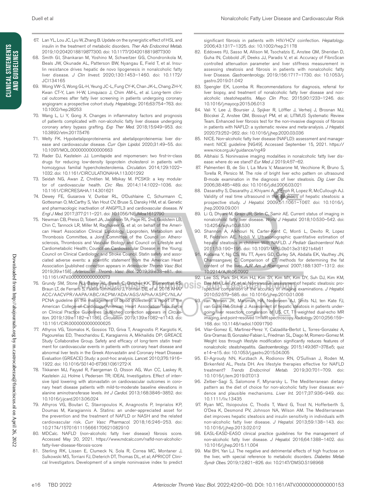- 67. Lan YL, Lou JC, Lyu W, Zhang B. Update on the synergistic effect of HSL and insulin in the treatment of metabolic disorders. *Ther Adv Endocrinol Metab*. 2019;10:2042018819877300. doi: 10.1177/2042018819877300
- 68. Smith GI, Shankaran M, Yoshino M, Schweitzer GG, Chondronikola M, Beals JW, Okunade AL, Patterson BW, Nyangau E, Field T, et al. Insulin resistance drives hepatic de novo lipogenesis in nonalcoholic fatty liver disease. *J Clin Invest*. 2020;130:1453–1460. doi: 10.1172/ JCI134165
- 69. Wong VW-S, Wong GL-H, Yeung JC-L, Fung CY-K, Chan JK-L, Chang ZH-Y, Kwan CT-Y, Lam H-W, Limquiaco J, Chim AM-L, et al. Long-term clinical outcomes after fatty liver screening in patients undergoing coronary angiogram: a prospective cohort study. *Hepatology*. 2016;63:754–763. doi: 10.1002/hep.28253
- 70. Wang L, Li Y, Gong X. Changes in inflammatory factors and prognosis of patients complicated with non-alcoholic fatty liver disease undergoing coronary artery bypass grafting. *Exp Ther Med*. 2018;15:949–953. doi: 10.3892/etm.2017.5476
- 71. Welty FK. Hypobetalipoproteinemia and abetalipoproteinemia: liver disease and cardiovascular disease. *Curr Opin Lipidol*. 2020;31:49–55. doi: 10.1097/MOL.0000000000000663
- 72. Rader DJ, Kastelein JJ. Lomitapide and mipomersen: two first-in-class drugs for reducing low-density lipoprotein cholesterol in patients with homozygous familial hypercholesterolemia. *Circulation*. 2014;129:1022– 1032. doi: 10.1161/CIRCULATIONAHA.113.001292
- 73. Seidah NG, Awan Z, Chrétien M, Mbikay M. PCSK9: a key modulator of cardiovascular health. *Circ Res*. 2014;114:1022–1036. doi: 10.1161/CIRCRESAHA.114.301621
- 74. Dewey FE, Gusarova V, Dunbar RL, O'Dushlaine C, Schurmann C, Gottesman O, McCarthy S, Van Hout CV, Bruse S, Dansky HM, et al. Genetic and pharmacologic inactivation of ANGPTL3 and cardiovascular disease. *N Engl J Med*. 2017;377:211–221. doi: 10.1056/NEJMoa1612790
- 75. Newman CB, Preiss D, Tobert JA, Jacobson TA, Page RL 2nd, Goldstein LB, Chin C, Tannock LR, Miller M, Raghuveer G, et al; on behalf of the American Heart Association Clinical Lipidology, Lipoprotein, Metabolism and Thrombosis Committee, a Joint Committee of the Council on Atherosclerosis, Thrombosis and Vascular Biology and Council on Lifestyle and Cardiometabolic Health; Council on Cardiovascular Disease in the Young; Council on Clinical Cardiology; and Stroke Council. Statin safety and associated adverse events: a scientific statement from the American Heart Association [published correction appears in *Arterioscler Thromb Vasc Biol*. 2019;39:e158]. *Arterioscler Thromb Vasc Biol*. 2019;39:e38–e81. doi: 10.1161/ATV.0000000000000073
- 76. Grundy SM, Stone NJ, Bailey AL, Beam C, Birtcher KK, Blumenthal RS, Braun LT, de Ferranti S, Faiella-Tommasino J, Forman DE, et al. 2018 AHA/ ACC/AACVPR/AAPA/ABC/ACPM/ADA/AGS/APhA/ASPC/NLA/ PCNA guideline on the management of blood cholesterol: a report of the American College of Cardiology/American Heart Association Task Force on Clinical Practice Guidelines [published correction appears in *Circulation*. 2019;139:e1182–e1186]. *Circulation*. 2019;139:e1082–e1143. doi: 10.1161/CIR.0000000000000625
- 77. Athyros VG, Tziomalos K, Gossios TD, Griva T, Anagnostis P, Kargiotis K, Pagourelias ED, Theocharidou E, Karagiannis A, Mikhailidis DP; GREACE Study Collaborative Group. Safety and efficacy of long-term statin treatment for cardiovascular events in patients with coronary heart disease and abnormal liver tests in the Greek Atorvastatin and Coronary Heart Disease Evaluation (GREACE) Study: a post-hoc analysis. *Lancet*. 2010;376:1916– 1922. doi: 10.1016/S0140-6736(10)61272-X
- 78. Tikkanen MJ, Fayyad R, Faergeman O, Olsson AG, Wun CC, Laskey R, Kastelein JJ, Holme I, Pedersen TR; IDEAL Investigators. Effect of intensive lipid lowering with atorvastatin on cardiovascular outcomes in coronary heart disease patients with mild-to-moderate baseline elevations in alanine aminotransferase levels. *Int J Cardiol*. 2013;168:3846–3852. doi: 10.1016/j.ijcard.2013.06.024
- 79. Athyros VG, Boutari C, Stavropoulos K, Anagnostis P, Imprialos KP, Doumas M, Karagiannis A. Statins: an under-appreciated asset for the prevention and the treatment of NAFLD or NASH and the related cardiovascular risk. *Curr Vasc Pharmacol*. 2018;16:246–253. doi: 10.2174/1570161115666170621082910
- 80. MDCalc. NAFLD (non-alcoholic fatty liver disease) fibrosis score. Accessed May 20, 2021. https://www.mdcalc.com/nafld-non-alcoholicfatty-liver-disease-fibrosis-score
- 81. Sterling RK, Lissen E, Clumeck N, Sola R, Correa MC, Montaner J, Sulkowski MS, Torriani FJ, Dieterich DT, Thomas DL, et al; APRICOT Clinical Investigators. Development of a simple noninvasive index to predict

significant fibrosis in patients with HIV/HCV coinfection. *Hepatology*. 2006;43:1317–1325. doi: 10.1002/hep.21178

- 82. Eddowes PJ, Sasso M, Allison M, Tsochatzis E, Anstee QM, Sheridan D, Guha IN, Cobbold JF, Deeks JJ, Paradis V, et al. Accuracy of FibroScan controlled attenuation parameter and liver stiffness measurement in assessing steatosis and fibrosis in patients with nonalcoholic fatty liver Disease. *Gastroenterology*. 2019;156:1717–1730. doi: 10.1053/j. gastro.2019.01.042
- 83. Spengler EK, Loomba R. Recommendations for diagnosis, referral for liver biopsy, and treatment of nonalcoholic fatty liver disease and nonalcoholic steatohepatitis. *Mayo Clin Proc*. 2015;90:1233–1246. doi: 10.1016/j.mayocp.2015.06.013
- 84. Vali Y, Lee J, Boursier J, Spijker R, Löffler J, Verheij J, Brosnan MJ, Böcskei Z, Anstee QM, Bossuyt PM, et al; LITMUS Systematic Review Team. Enhanced liver fibrosis test for the non-invasive diagnosis of fibrosis in patients with NAFLD: a systematic review and meta-analysis. *J Hepatol*. 2020;73:252–262. doi: 10.1016/j.jhep.2020.03.036
- 85. NICE. Non-alcoholic fatty liver disease (NAFLD): assessment and management: NICE guideline [NG49]. Accessed September 15, 2021. https:// www.nice.org.uk/guidance/ng49
- 86. Albhaisi S. Noninvasive imaging modalities in nonalcoholic fatty liver disease: where do we stand? *Eur Med J*. 2019;4:57–62.
- 87. Palmentieri B, de Sio I, La Mura V, Masarone M, Vecchione R, Bruno S, Torella R, Persico M. The role of bright liver echo pattern on ultrasound B-mode examination in the diagnosis of liver steatosis. *Dig Liver Dis*. 2006;38:485–489. doi: 10.1016/j.dld.2006.03.021
- 88. Dasarathy S, Dasarathy J, Khiyami A, Joseph R, Lopez R, McCullough AJ. Validity of real time ultrasound in the diagnosis of hepatic steatosis: a prospective study. *J Hepatol*. 2009;51:1061–1067. doi: 10.1016/j. jhep.2009.09.001
- 89. Li Q, Dhyani M, Grajo JR, Sirlin C, Samir AE. Current status of imaging in nonalcoholic fatty liver disease. *World J Hepatol*. 2018;10:530–542. doi: 10.4254/wjh.v10.i8.530
- 90. Shannon A, Alkhouri N, Carter-Kent C, Monti L, Devito R, Lopez R, Feldstein AE, Nobili V. Ultrasonographic quantitative estimation of hepatic steatosis in children With NAFLD. *J Pediatr Gastroenterol Nutr*. 2011;53:190–195. doi: 10.1097/MPG.0b013e31821b4b61
- Kodama Y, Ng CS, Wu TT, Ayers GD, Curley SA, Abdalla EK, Vauthey JN, Charnsangavej C. Comparison of CT methods for determining the fat content of the liver. *AJR Am J Roentgenol*. 2007;188:1307–1312. doi: 10.2214/AJR.06.0992
- Lee SS, Park SH, Kim HJ, Kim SY, Kim MY, Kim DY, Suh DJ, Kim KM, Bae MH, Lee JY, et al. Non-invasive assessment of hepatic steatosis: prospective comparison of the accuracy of imaging examinations. *J Hepatol*. 2010;52:579–585. doi: 10.1016/j.jhep.2010.01.008
- 93. van Werven JR, Marsman HA, Nederveen AJ, Smits NJ, ten Kate FJ, van Gulik TM, Stoker J. Assessment of hepatic steatosis in patients undergoing liver resection: comparison of US, CT, T1-weighted dual-echo MR imaging, and point-resolved 1H MR spectroscopy. *Radiology*. 2010;256:159– 168. doi: 10.1148/radiol.10091790
- 94. Vilar-Gomez E, Martinez-Perez Y, Calzadilla-Bertot L, Torres-Gonzalez A, Gra-Oramas B, Gonzalez-Fabian L, Friedman SL, Diago M, Romero-Gomez M. Weight loss through lifestyle modification significantly reduces features of nonalcoholic steatohepatitis. *Gastroenterology*. 2015;149:367–378.e5; quiz e14–e15. doi: 10.1053/j.gastro.2015.04.005
- 95. El-Agroudy NN, Kurzbach A, Rodionov RN, O'Sullivan J, Roden M, Birkenfeld AL, Pesta DH. Are lifestyle therapies effective for NAFLD treatment? *Trends Endocrinol Metab*. 2019;30:701–709. doi: 10.1016/j.tem.2019.07.013
- 96. Zelber-Sagi S, Salomone F, Mlynarsky L. The Mediterranean dietary pattern as the diet of choice for non-alcoholic fatty liver disease: evidence and plausible mechanisms. *Liver Int*. 2017;37:936–949. doi: 10.1111/liv.13435
- 97. Ryan MC, Itsiopoulos C, Thodis T, Ward G, Trost N, Hofferberth S, O'Dea K, Desmond PV, Johnson NA, Wilson AM. The Mediterranean diet improves hepatic steatosis and insulin sensitivity in individuals with non-alcoholic fatty liver disease. *J Hepatol*. 2013;59:138–143. doi: 10.1016/j.jhep.2013.02.012
- 98. EASL-EASD-EASO clinical practice guidelines for the management of non-alcoholic fatty liver disease. *J Hepatol*. 2016;64:1388–1402. doi: 10.1016/j.jhep.2015.11.004
- 99. Mai BH, Yan LJ. The negative and detrimental effects of high fructose on the liver, with special reference to metabolic disorders. *Diabetes Metab Syndr Obes*. 2019;12:821–826. doi: 10.2147/DMSO.S198968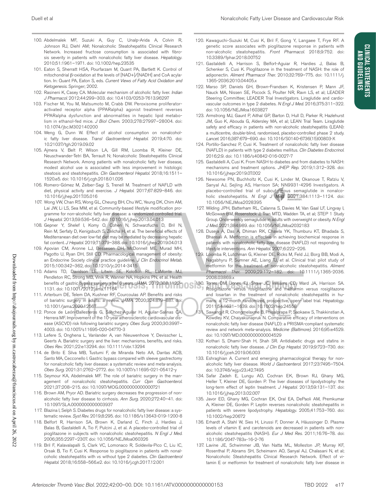- 100. Abdelmalek MF, Suzuki A, Guy C, Unalp-Arida A, Colvin R, Johnson RJ, Diehl AM; Nonalcoholic Steatohepatitis Clinical Research Network. Increased fructose consumption is associated with fibrosis severity in patients with nonalcoholic fatty liver disease. *Hepatology*. 2010;51:1961–1971. doi: 10.1002/hep.23535
- 101. Eaton S, Sherratt HSA, Pourfarzam M, Quant PA, Bartlett K. Control of mitochondrial β-oxidation at the levels of [NAD+]/[NADH] and CoA acylation. In: Quant PA, Eaton S, eds. *Current Views of Fatty Acid Oxidation and Ketogenesis*. Springer; 2002.
- 102. Rasineni K, Casey CA. Molecular mechanism of alcoholic fatty liver. *Indian J Pharmacol*. 2012;44:299–303. doi: 10.4103/0253-7613.96297
- 103. Fischer M, You M, Matsumoto M, Crabb DW. Peroxisome proliferatoractivated receptor alpha (PPARalpha) agonist treatment reverses PPARalpha dysfunction and abnormalities in hepatic lipid metabolism in ethanol-fed mice. *J Biol Chem*. 2003;278:27997–28004. doi: 10.1074/jbc.M302140200
- 104. Weng G, Dunn W. Effect of alcohol consumption on nonalcoholic fatty liver disease. *Transl Gastroenterol Hepatol*. 2019;4:70. doi: 10.21037/tgh.2019.09.02
- 105. Ajmera V, Belt P, Wilson LA, Gill RM, Loomba R, Kleiner DE, Neuschwander-Tetri BA, Terrault N; Nonalcoholic Steatohepatitis Clinical Research Network. Among patients with nonalcoholic fatty liver disease, modest alcohol use is associated with less improvement in histologic steatosis and steatohepatitis. *Clin Gastroenterol Hepatol*. 2018;16:1511– 1520.e5. doi: 10.1016/j.cgh.2018.01.026
- 106. Romero-Gómez M, Zelber-Sagi S, Trenell M. Treatment of NAFLD with diet, physical activity and exercise. *J Hepatol*. 2017;67:829–846. doi: 10.1016/j.jhep.2017.05.016
- 107. Wong VW, Chan RS, Wong GL, Cheung BH, Chu WC, Yeung DK, Chim AM, Lai JW, Li LS, Sea MM, et al. Community-based lifestyle modification programme for non-alcoholic fatty liver disease: a randomized controlled trial. *J Hepatol*. 2013;59:536–542. doi: 10.1016/j.jhep.2013.04.013
- 108. Gepner Y, Shelef I, Komy O, Cohen N, Schwarzfuchs D, Bril N, Rein M, Serfaty D, Kenigsbuch S, Zelicha H, et al. The beneficial effects of Mediterranean diet over low-fat diet may be mediated by decreasing hepatic fat content. *J Hepatol*. 2019;71:379–388. doi: 10.1016/j.jhep.2019.04.013
- 109. Apovian CM, Aronne LJ, Bessesen DH, McDonnell ME, Murad MH, Pagotto U, Ryan DH, Still CD. Pharmacological management of obesity: an Endocrine Society clinical practice guideline. *J Clin Endocrinol Metab*. 2015;100:342–362, doi: 10.1210/jc.2014-3415
- 110. Adams TD, Davidson LE, Litwin SE, Kolotkin RL, LaMonte MJ, Pendleton RC, Strong MB, Vinik R, Wanner NA, Hopkins PN, et al. Health benefits of gastric bypass surgery after 6 years. *JAMA*. 2012;308:1122– 1131. doi: 10.1001/2012.jama.11164
- 111. Arterburn DE, Telem DA, Kushner RF, Courcoulas AP. Benefits and risks of bariatric surgery in adults: a review. *JAMA*. 2020;324:879–887. doi: 10.1001/jama.2020.12567
- 112. Ponce de León-Ballesteros G, Sánchez-Aguilar H, Aguilar-Salinas CA, Herrera MF. Improvement of the 10-year atherosclerotic cardiovascular disease (ASCVD) risk following bariatric surgery. *Obes Surg*. 2020;30:3997– 4003. doi: 10.1007/s11695-020-04770-3
- 113. Lefere S, Onghena L, Vanlander A, van Nieuwenhove Y, Devisscher L, Geerts A. Bariatric surgery and the liver: mechanisms, benefits, and risks. *Obes Rev*. 2021;22:e13294. doi: 10.1111/obr.13294
- 114. de Brito E Silva MB, Tustumi F, de Miranda Neto AA, Dantas ACB, Santo MA, Cecconello I. Gastric bypass compared with sleeve gastrectomy for nonalcoholic fatty liver disease: a systematic review and meta-analysis. *Obes Surg*. 2021:31:2762–2772. doi: 10.1007/s11695-021-05412-y
- 115. Seymour KA, Abdelmalek MF. The role of bariatric surgery in the management of nonalcoholic steatohepatitis. *Curr Opin Gastroenterol*. 2021;37:208–215. doi: 10.1097/MOG.0000000000000721
- 116. Brown AM, Pryor AD. Bariatric surgery decreases the progression of nonalcoholic fatty liver disease to cirrhosis. *Ann Surg*. 2020;272:40–41. doi: 10.1097/SLA.0000000000003937
- 117. Blazina I, Selph S. Diabetes drugs for nonalcoholic fatty liver disease: a systematic review. *Syst Rev*. 2019;8:295. doi: 10.1186/s13643-019-1200-8
- 118. Belfort R, Harrison SA, Brown K, Darland C, Finch J, Hardies J, Balas B, Gastaldelli A, Tio F, Pulcini J, et al. A placebo-controlled trial of pioglitazone in subjects with nonalcoholic steatohepatitis. *N Engl J Med*. 2006;355:2297–2307. doi: 10.1056/NEJMoa060326
- 119. Bril F, Kalavalapalli S, Clark VC, Lomonaco R, Soldevila-Pico C, Liu IC, Orsak B, Tio F, Cusi K. Response to pioglitazone in patients with nonalcoholic steatohepatitis with vs without type 2 diabetes. *Clin Gastroenterol Hepatol*. 2018;16:558–566.e2. doi: 10.1016/j.cgh.2017.12.001
- 120. Kawaguchi-Suzuki M, Cusi K, Bril F, Gong Y, Langaee T, Frye RF. A genetic score associates with pioglitazone response in patients with non-alcoholic steatohepatitis. *Front Pharmacol*. 2018;9:752. doi: 10.3389/fphar.2018.00752
- 121. Gastaldelli A, Harrison S, Belfort-Aguiar R, Hardies J, Balas B, Schenker S, Cusi K. Pioglitazone in the treatment of NASH: the role of adiponectin. *Aliment Pharmacol Ther*. 2010;32:769–775. doi: 10.1111/j. 1365-2036.2010.04405.x
- 122. Marso SP, Daniels GH, Brown-Frandsen K, Kristensen P, Mann JF, Nauck MA, Nissen SE, Pocock S, Poulter NR, Ravn LS, et al; LEADER Steering Committee; LEADER Trial Investigators. Liraglutide and cardiovascular outcomes in type 2 diabetes. *N Engl J Med*. 2016;375:311–322. doi: 10.1056/NEJMoa1603827
- 123. Armstrong MJ, Gaunt P, Aithal GP, Barton D, Hull D, Parker R, Hazlehurst JM, Guo K, Abouda G, Aldersley MA, et al; LEAN Trial Team. Liraglutide safety and efficacy in patients with non-alcoholic steatohepatitis (LEAN): a multicentre, double-blind, randomised, placebo-controlled phase 2 study. *Lancet*. 2016;387:679–690. doi: 10.1016/S0140-6736(15)00803-X
- 124. Portillo-Sanchez P, Cusi K. Treatment of nonalcoholic fatty liver disease (NAFLD) in patients with type 2 diabetes mellitus. *Clin Diabetes Endocrinol*. 2016;2:9. doi: 10.1186/s40842-016-0027-7
- 125. Gastaldelli A, Cusi K. From NASH to diabetes and from diabetes to NASH: mechanisms and treatment options. *JHEP Rep*. 2019;1:312–328. doi: 10.1016/j.jhepr.2019.07.002
- 126. Newsome PN, Buchholtz K, Cusi K, Linder M, Okanoue T, Ratziu V, Sanyal AJ, Sejling AS, Harrison SA; NN9931-4296 Investigators. A placebo-controlled trial of subcutaneous semaglutide in nonalcoholic steatohepatitis. *N Engl J Med.* 2021;384:1113-1124. doi: 10.1056/NEJMoa2028395
- 127. Wilding JPH, Batterham RL, Calanna S, Davies M, Van Gaal LF, Lingvay I, McGowan BM, Rosenstock J, Tran MTD, Wadden TA, et al; STEP 1 Study Group. Once-weekly semaglutide in adults with overweight or obesity. *N Engl J Med*. 2021;384:989. doi: 10.1056/NEJMoa2032183
- 128. Duseja A, Das A, Dhiman RK, Chawla YK, Thumburu KT, Bhadada S, Bhansali A. Metformin is effective in achieving biochemical response in patients with nonalcoholic fatty liver disease (NAFLD) not responding to lifestyle interventions. *Ann Hepatol*. 2007;6:222–226.
- 129. Loomba R, Lutchman G, Kleiner DE, Ricks M, Feld JJ, Borg BB, Modi A, Nagabhyru P, Sumner AE, Liang TJ, et al. Clinical trial: pilot study of metformin for the treatment of non-alcoholic steatohepatitis. *Aliment Pharmacol Ther*. 2009;29:172–182. doi: 10.1111/j.1365-2036. 2008.03869.x
- 130. Torres DM, Jones FJ, Shaw JC, Williams CD, Ward JA, Harrison SA. Rosiglitazone versus rosiglitazone and metformin versus rosiglitazone and losartan in the treatment of nonalcoholic steatohepatitis in humans: a 12-month randomized, prospective, open- label trial. *Hepatology*. 2011;54:1631–1639. doi: 10.1002/hep.24558
- 131. Sawangjit R, Chongmelaxme B, Phisalprapa P, Saokaew S, Thakkinstian A, Kowdley KV, Chaiyakunapruk N. Comparative efficacy of interventions on nonalcoholic fatty liver disease (NAFLD): a PRISMA-compliant systematic review and network meta-analysis. *Medicine (Baltimore)*. 2016;95:e4529. doi: 10.1097/MD.0000000000004529
- 132. Kothari S, Dhami-Shah H, Shah SR. Antidiabetic drugs and statins in nonalcoholic fatty liver disease. *J Clin Exp Hepatol*. 2019;9:723–730. doi: 10.1016/j.jceh.2019.06.003
- 133. Eshraghian A. Current and emerging pharmacological therapy for nonalcoholic fatty liver disease. *World J Gastroenterol*. 2017;23:7495–7504. doi: 10.3748/wjg.v23.i42.7495
- 134. Safar Zadeh E, Lungu AO, Cochran EK, Brown RJ, Ghany MG, Heller T, Kleiner DE, Gorden P. The liver diseases of lipodystrophy: the long-term effect of leptin treatment. *J Hepatol*. 2013;59:131–137. doi: 10.1016/j.jhep.2013.02.007
- 135. Javor ED, Ghany MG, Cochran EK, Oral EA, DePaoli AM, Premkumar A, Kleiner DE, Gorden P. Leptin reverses nonalcoholic steatohepatitis in patients with severe lipodystrophy. *Hepatology*. 2005;41:753–760. doi: 10.1002/hep.20672
- 136. Erhardt A, Stahl W, Sies H, Lirussi F, Donner A, Häussinger D. Plasma levels of vitamin E and carotenoids are decreased in patients with nonalcoholic steatohepatitis (NASH). *Eur J Med Res*. 2011;16:76–78. doi: 10.1186/2047-783x-16-2-76
- 137. Lavine JE, Schwimmer JB, Van Natta ML, Molleston JP, Murray KF, Rosenthal P, Abrams SH, Scheimann AO, Sanyal AJ, Chalasani N, et al; Nonalcoholic Steatohepatitis Clinical Research Network. Effect of vitamin E or metformin for treatment of nonalcoholic fatty liver disease in